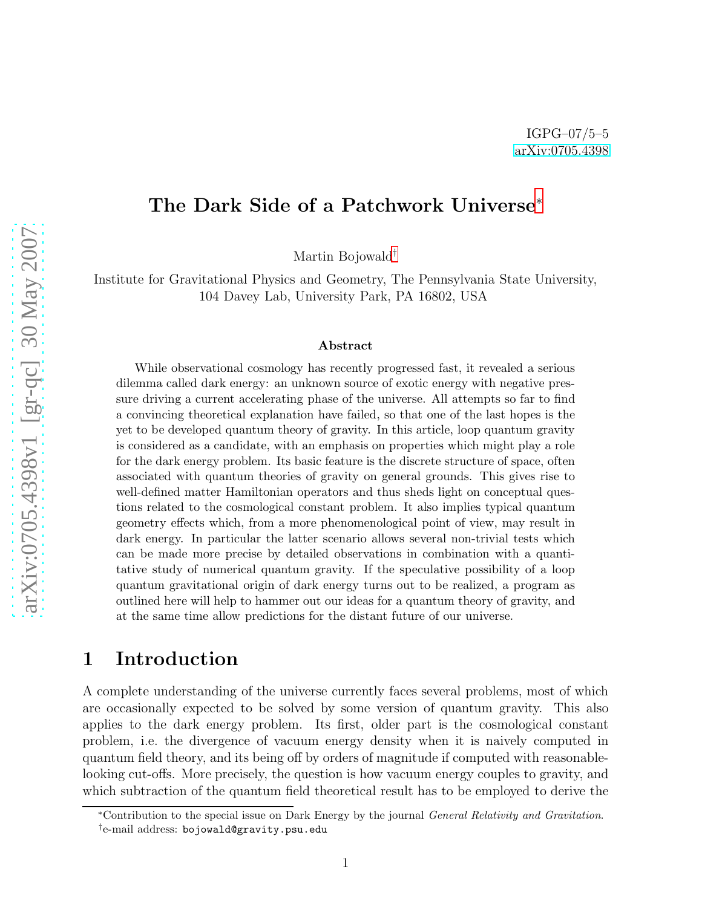# The Dark Side of a Patchwork Universe[∗](#page-0-0)

Martin Bojowald[†](#page-0-1)

Institute for Gravitational Physics and Geometry, The Pennsylvania State University, 104 Davey Lab, University Park, PA 16802, USA

#### Abstract

While observational cosmology has recently progressed fast, it revealed a serious dilemma called dark energy: an unknown source of exotic energy with negative pressure driving a current accelerating phase of the universe. All attempts so far to find a convincing theoretical explanation have failed, so that one of the last hopes is the yet to be developed quantum theory of gravity. In this article, loop quantum gravity is considered as a candidate, with an emphasis on properties which might play a role for the dark energy problem. Its basic feature is the discrete structure of space, often associated with quantum theories of gravity on general grounds. This gives rise to well-defined matter Hamiltonian operators and thus sheds light on conceptual questions related to the cosmological constant problem. It also implies typical quantum geometry effects which, from a more phenomenological point of view, may result in dark energy. In particular the latter scenario allows several non-trivial tests which can be made more precise by detailed observations in combination with a quantitative study of numerical quantum gravity. If the speculative possibility of a loop quantum gravitational origin of dark energy turns out to be realized, a program as outlined here will help to hammer out our ideas for a quantum theory of gravity, and at the same time allow predictions for the distant future of our universe.

### 1 Introduction

A complete understanding of the universe currently faces several problems, most of which are occasionally expected to be solved by some version of quantum gravity. This also applies to the dark energy problem. Its first, older part is the cosmological constant problem, i.e. the divergence of vacuum energy density when it is naively computed in quantum field theory, and its being off by orders of magnitude if computed with reasonablelooking cut-offs. More precisely, the question is how vacuum energy couples to gravity, and which subtraction of the quantum field theoretical result has to be employed to derive the

<span id="page-0-1"></span><span id="page-0-0"></span><sup>∗</sup>Contribution to the special issue on Dark Energy by the journal General Relativity and Gravitation. † e-mail address: bojowald@gravity.psu.edu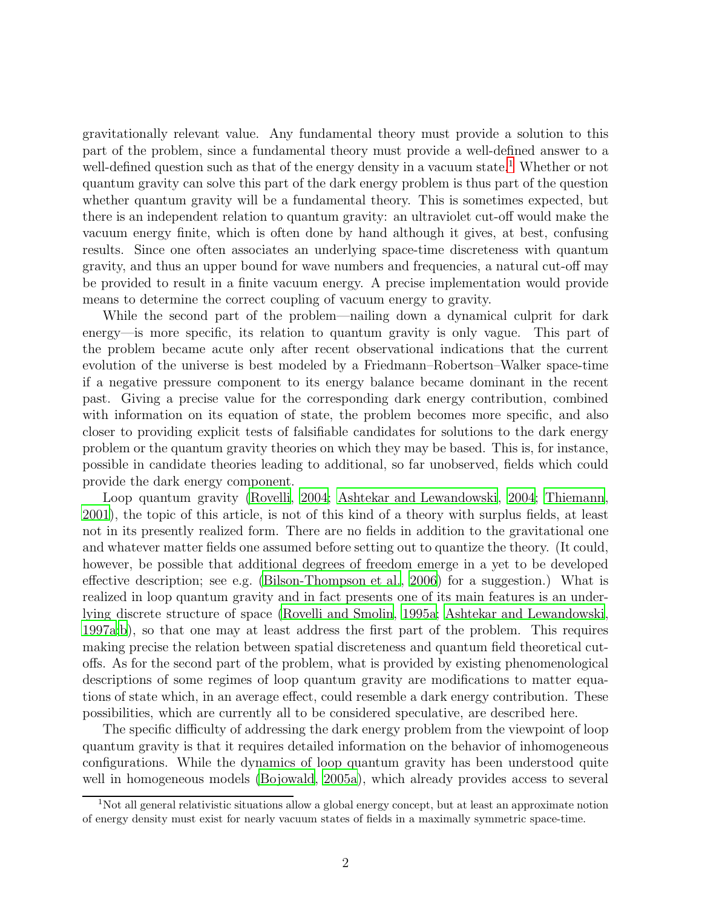gravitationally relevant value. Any fundamental theory must provide a solution to this part of the problem, since a fundamental theory must provide a well-defined answer to a well-defined question such as that of the energy density in a vacuum state.<sup>[1](#page-1-0)</sup> Whether or not quantum gravity can solve this part of the dark energy problem is thus part of the question whether quantum gravity will be a fundamental theory. This is sometimes expected, but there is an independent relation to quantum gravity: an ultraviolet cut-off would make the vacuum energy finite, which is often done by hand although it gives, at best, confusing results. Since one often associates an underlying space-time discreteness with quantum gravity, and thus an upper bound for wave numbers and frequencies, a natural cut-off may be provided to result in a finite vacuum energy. A precise implementation would provide means to determine the correct coupling of vacuum energy to gravity.

While the second part of the problem—nailing down a dynamical culprit for dark energy—is more specific, its relation to quantum gravity is only vague. This part of the problem became acute only after recent observational indications that the current evolution of the universe is best modeled by a Friedmann–Robertson–Walker space-time if a negative pressure component to its energy balance became dominant in the recent past. Giving a precise value for the corresponding dark energy contribution, combined with information on its equation of state, the problem becomes more specific, and also closer to providing explicit tests of falsifiable candidates for solutions to the dark energy problem or the quantum gravity theories on which they may be based. This is, for instance, possible in candidate theories leading to additional, so far unobserved, fields which could provide the dark energy component.

Loop quantum gravity [\(Rovelli](#page-23-0), [2004;](#page-23-0) [Ashtekar and Lewandowski](#page-20-0), [2004;](#page-20-0) [Thiemann,](#page-23-1) [2001\)](#page-23-1), the topic of this article, is not of this kind of a theory with surplus fields, at least not in its presently realized form. There are no fields in addition to the gravitational one and whatever matter fields one assumed before setting out to quantize the theory. (It could, however, be possible that additional degrees of freedom emerge in a yet to be developed effective description; see e.g. [\(Bilson-Thompson et al., 2006](#page-20-1)) for a suggestion.) What is realized in loop quantum gravity and in fact presents one of its main features is an underlying discrete structure of space [\(Rovelli and Smolin](#page-23-2), [1995a;](#page-23-2) [Ashtekar and Lewandowski](#page-20-2), [1997a](#page-20-2)[;b](#page-20-3)), so that one may at least address the first part of the problem. This requires making precise the relation between spatial discreteness and quantum field theoretical cutoffs. As for the second part of the problem, what is provided by existing phenomenological descriptions of some regimes of loop quantum gravity are modifications to matter equations of state which, in an average effect, could resemble a dark energy contribution. These possibilities, which are currently all to be considered speculative, are described here.

The specific difficulty of addressing the dark energy problem from the viewpoint of loop quantum gravity is that it requires detailed information on the behavior of inhomogeneous configurations. While the dynamics of loop quantum gravity has been understood quite well in homogeneous models [\(Bojowald, 2005a\)](#page-20-4), which already provides access to several

<span id="page-1-0"></span><sup>&</sup>lt;sup>1</sup>Not all general relativistic situations allow a global energy concept, but at least an approximate notion of energy density must exist for nearly vacuum states of fields in a maximally symmetric space-time.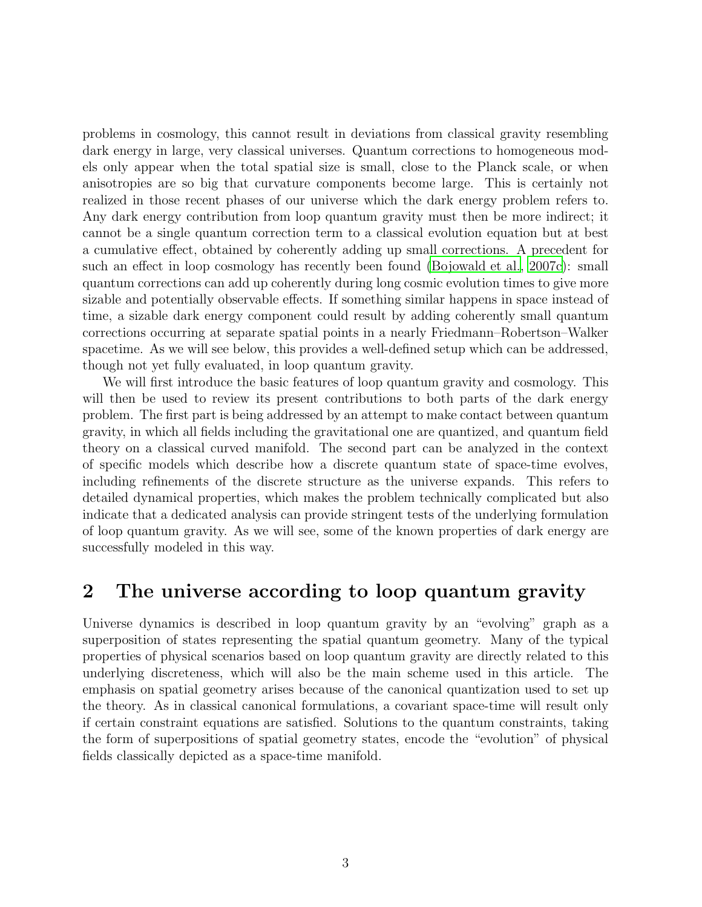problems in cosmology, this cannot result in deviations from classical gravity resembling dark energy in large, very classical universes. Quantum corrections to homogeneous models only appear when the total spatial size is small, close to the Planck scale, or when anisotropies are so big that curvature components become large. This is certainly not realized in those recent phases of our universe which the dark energy problem refers to. Any dark energy contribution from loop quantum gravity must then be more indirect; it cannot be a single quantum correction term to a classical evolution equation but at best a cumulative effect, obtained by coherently adding up small corrections. A precedent for such an effect in loop cosmology has recently been found [\(Bojowald et al., 2007c](#page-21-0)): small quantum corrections can add up coherently during long cosmic evolution times to give more sizable and potentially observable effects. If something similar happens in space instead of time, a sizable dark energy component could result by adding coherently small quantum corrections occurring at separate spatial points in a nearly Friedmann–Robertson–Walker spacetime. As we will see below, this provides a well-defined setup which can be addressed, though not yet fully evaluated, in loop quantum gravity.

We will first introduce the basic features of loop quantum gravity and cosmology. This will then be used to review its present contributions to both parts of the dark energy problem. The first part is being addressed by an attempt to make contact between quantum gravity, in which all fields including the gravitational one are quantized, and quantum field theory on a classical curved manifold. The second part can be analyzed in the context of specific models which describe how a discrete quantum state of space-time evolves, including refinements of the discrete structure as the universe expands. This refers to detailed dynamical properties, which makes the problem technically complicated but also indicate that a dedicated analysis can provide stringent tests of the underlying formulation of loop quantum gravity. As we will see, some of the known properties of dark energy are successfully modeled in this way.

### <span id="page-2-0"></span>2 The universe according to loop quantum gravity

Universe dynamics is described in loop quantum gravity by an "evolving" graph as a superposition of states representing the spatial quantum geometry. Many of the typical properties of physical scenarios based on loop quantum gravity are directly related to this underlying discreteness, which will also be the main scheme used in this article. The emphasis on spatial geometry arises because of the canonical quantization used to set up the theory. As in classical canonical formulations, a covariant space-time will result only if certain constraint equations are satisfied. Solutions to the quantum constraints, taking the form of superpositions of spatial geometry states, encode the "evolution" of physical fields classically depicted as a space-time manifold.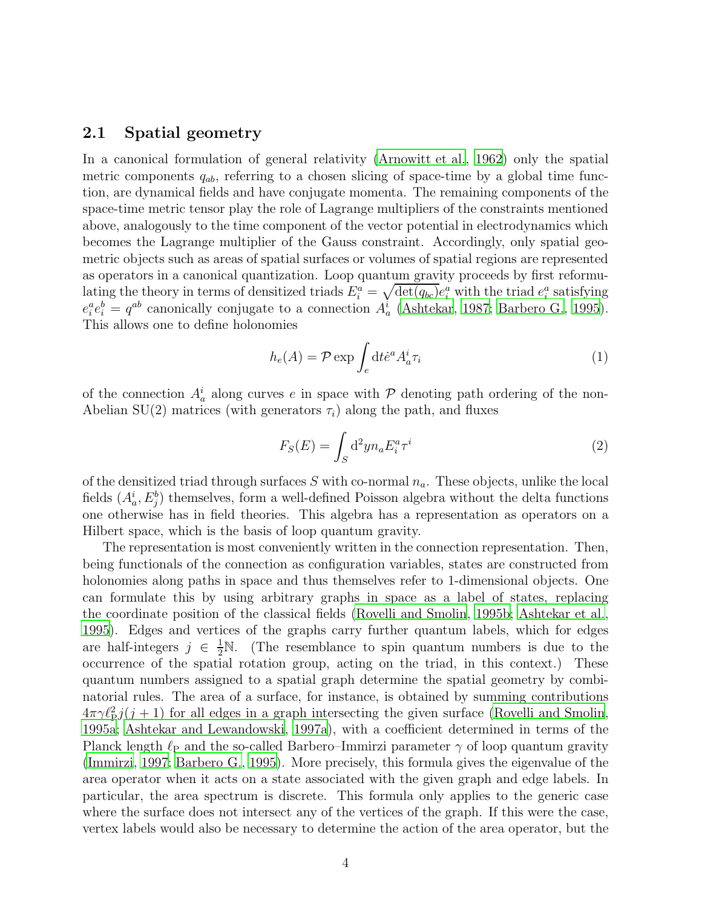#### 2.1 Spatial geometry

In a canonical formulation of general relativity [\(Arnowitt et al.](#page-19-0), [1962](#page-19-0)) only the spatial metric components  $q_{ab}$ , referring to a chosen slicing of space-time by a global time function, are dynamical fields and have conjugate momenta. The remaining components of the space-time metric tensor play the role of Lagrange multipliers of the constraints mentioned above, analogously to the time component of the vector potential in electrodynamics which becomes the Lagrange multiplier of the Gauss constraint. Accordingly, only spatial geometric objects such as areas of spatial surfaces or volumes of spatial regions are represented as operators in a canonical quantization. Loop quantum gravity proceeds by first reformulating the theory in terms of densitized triads  $E_i^a = \sqrt{\det(q_{bc})}e_i^a$  with the triad  $e_i^a$  satisfying  $e_i^a e_i^b = q^{ab}$  canonically conjugate to a connection  $A_a^i$  [\(Ashtekar, 1987;](#page-19-1) [Barbero G.](#page-20-5), [1995](#page-20-5)). This allows one to define holonomies

$$
h_e(A) = \mathcal{P} \exp \int_e \mathrm{d}t \dot{e}^a A_a^i \tau_i \tag{1}
$$

of the connection  $A_a^i$  along curves e in space with  $P$  denoting path ordering of the non-Abelian SU(2) matrices (with generators  $\tau_i$ ) along the path, and fluxes

$$
F_S(E) = \int_S d^2 y n_a E_i^a \tau^i
$$
\n(2)

of the densitized triad through surfaces S with co-normal  $n_a$ . These objects, unlike the local fields  $(A_a^i, E_j^b)$  themselves, form a well-defined Poisson algebra without the delta functions one otherwise has in field theories. This algebra has a representation as operators on a Hilbert space, which is the basis of loop quantum gravity.

The representation is most conveniently written in the connection representation. Then, being functionals of the connection as configuration variables, states are constructed from holonomies along paths in space and thus themselves refer to 1-dimensional objects. One can formulate this by using arbitrary graphs in space as a label of states, replacing the coordinate position of the classical fields [\(Rovelli and Smolin](#page-23-3), [1995b;](#page-23-3) [Ashtekar et al.,](#page-20-6) [1995\)](#page-20-6). Edges and vertices of the graphs carry further quantum labels, which for edges are half-integers  $j \in \frac{1}{2}N$ . (The resemblance to spin quantum numbers is due to the occurrence of the spatial rotation group, acting on the triad, in this context.) These quantum numbers assigned to a spatial graph determine the spatial geometry by combinatorial rules. The area of a surface, for instance, is obtained by summing contributions  $4\pi\gamma\ell_{\rm P}^2 j(j+1)$  for all edges in a graph intersecting the given surface [\(Rovelli and Smolin,](#page-23-2) [1995a](#page-23-2); [Ashtekar and Lewandowski](#page-20-2), [1997a\)](#page-20-2), with a coefficient determined in terms of the Planck length  $\ell_P$  and the so-called Barbero–Immirzi parameter  $\gamma$  of loop quantum gravity [\(Immirzi](#page-22-0), [1997;](#page-22-0) [Barbero G., 1995\)](#page-20-5). More precisely, this formula gives the eigenvalue of the area operator when it acts on a state associated with the given graph and edge labels. In particular, the area spectrum is discrete. This formula only applies to the generic case where the surface does not intersect any of the vertices of the graph. If this were the case, vertex labels would also be necessary to determine the action of the area operator, but the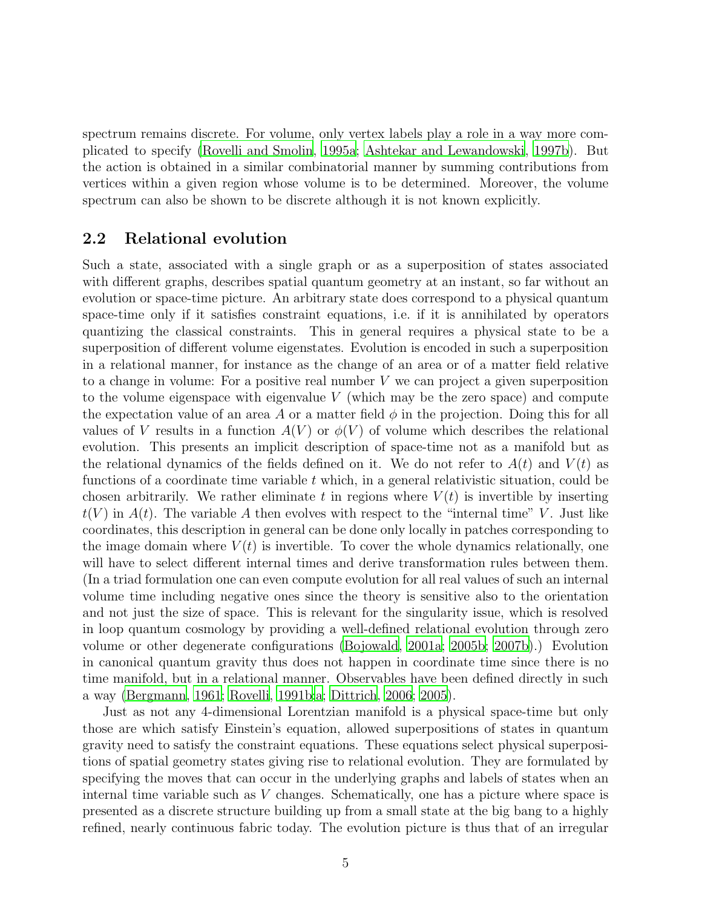spectrum remains discrete. For volume, only vertex labels play a role in a way more complicated to specify [\(Rovelli and Smolin](#page-23-2), [1995a;](#page-23-2) [Ashtekar and Lewandowski](#page-20-3), [1997b\)](#page-20-3). But the action is obtained in a similar combinatorial manner by summing contributions from vertices within a given region whose volume is to be determined. Moreover, the volume spectrum can also be shown to be discrete although it is not known explicitly.

### 2.2 Relational evolution

Such a state, associated with a single graph or as a superposition of states associated with different graphs, describes spatial quantum geometry at an instant, so far without an evolution or space-time picture. An arbitrary state does correspond to a physical quantum space-time only if it satisfies constraint equations, i.e. if it is annihilated by operators quantizing the classical constraints. This in general requires a physical state to be a superposition of different volume eigenstates. Evolution is encoded in such a superposition in a relational manner, for instance as the change of an area or of a matter field relative to a change in volume: For a positive real number  $V$  we can project a given superposition to the volume eigenspace with eigenvalue  $V$  (which may be the zero space) and compute the expectation value of an area A or a matter field  $\phi$  in the projection. Doing this for all values of V results in a function  $A(V)$  or  $\phi(V)$  of volume which describes the relational evolution. This presents an implicit description of space-time not as a manifold but as the relational dynamics of the fields defined on it. We do not refer to  $A(t)$  and  $V(t)$  as functions of a coordinate time variable  $t$  which, in a general relativistic situation, could be chosen arbitrarily. We rather eliminate t in regions where  $V(t)$  is invertible by inserting  $t(V)$  in  $A(t)$ . The variable A then evolves with respect to the "internal time" V. Just like coordinates, this description in general can be done only locally in patches corresponding to the image domain where  $V(t)$  is invertible. To cover the whole dynamics relationally, one will have to select different internal times and derive transformation rules between them. (In a triad formulation one can even compute evolution for all real values of such an internal volume time including negative ones since the theory is sensitive also to the orientation and not just the size of space. This is relevant for the singularity issue, which is resolved in loop quantum cosmology by providing a well-defined relational evolution through zero volume or other degenerate configurations [\(Bojowald, 2001a](#page-20-7); [2005b](#page-21-1); [2007b](#page-21-2)).) Evolution in canonical quantum gravity thus does not happen in coordinate time since there is no time manifold, but in a relational manner. Observables have been defined directly in such a way [\(Bergmann](#page-20-8), [1961](#page-20-8); [Rovelli](#page-23-4), [1991b](#page-23-4)[;a](#page-23-5); [Dittrich](#page-22-1), [2006;](#page-22-1) [2005](#page-22-2)).

Just as not any 4-dimensional Lorentzian manifold is a physical space-time but only those are which satisfy Einstein's equation, allowed superpositions of states in quantum gravity need to satisfy the constraint equations. These equations select physical superpositions of spatial geometry states giving rise to relational evolution. They are formulated by specifying the moves that can occur in the underlying graphs and labels of states when an internal time variable such as V changes. Schematically, one has a picture where space is presented as a discrete structure building up from a small state at the big bang to a highly refined, nearly continuous fabric today. The evolution picture is thus that of an irregular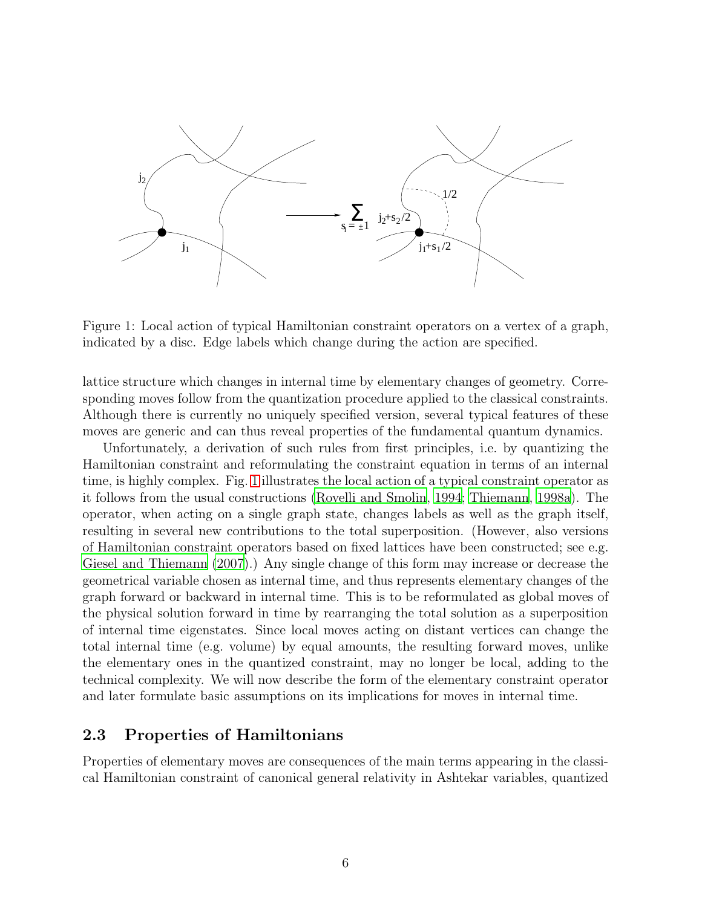

<span id="page-5-0"></span>Figure 1: Local action of typical Hamiltonian constraint operators on a vertex of a graph, indicated by a disc. Edge labels which change during the action are specified.

lattice structure which changes in internal time by elementary changes of geometry. Corresponding moves follow from the quantization procedure applied to the classical constraints. Although there is currently no uniquely specified version, several typical features of these moves are generic and can thus reveal properties of the fundamental quantum dynamics.

Unfortunately, a derivation of such rules from first principles, i.e. by quantizing the Hamiltonian constraint and reformulating the constraint equation in terms of an internal time, is highly complex. Fig. [1](#page-5-0) illustrates the local action of a typical constraint operator as it follows from the usual constructions [\(Rovelli and Smolin](#page-23-6), [1994;](#page-23-6) [Thiemann, 1998a\)](#page-23-7). The operator, when acting on a single graph state, changes labels as well as the graph itself, resulting in several new contributions to the total superposition. (However, also versions of Hamiltonian constraint operators based on fixed lattices have been constructed; see e.g. [Giesel and Thiemann \(2007\)](#page-22-3).) Any single change of this form may increase or decrease the geometrical variable chosen as internal time, and thus represents elementary changes of the graph forward or backward in internal time. This is to be reformulated as global moves of the physical solution forward in time by rearranging the total solution as a superposition of internal time eigenstates. Since local moves acting on distant vertices can change the total internal time (e.g. volume) by equal amounts, the resulting forward moves, unlike the elementary ones in the quantized constraint, may no longer be local, adding to the technical complexity. We will now describe the form of the elementary constraint operator and later formulate basic assumptions on its implications for moves in internal time.

### 2.3 Properties of Hamiltonians

Properties of elementary moves are consequences of the main terms appearing in the classical Hamiltonian constraint of canonical general relativity in Ashtekar variables, quantized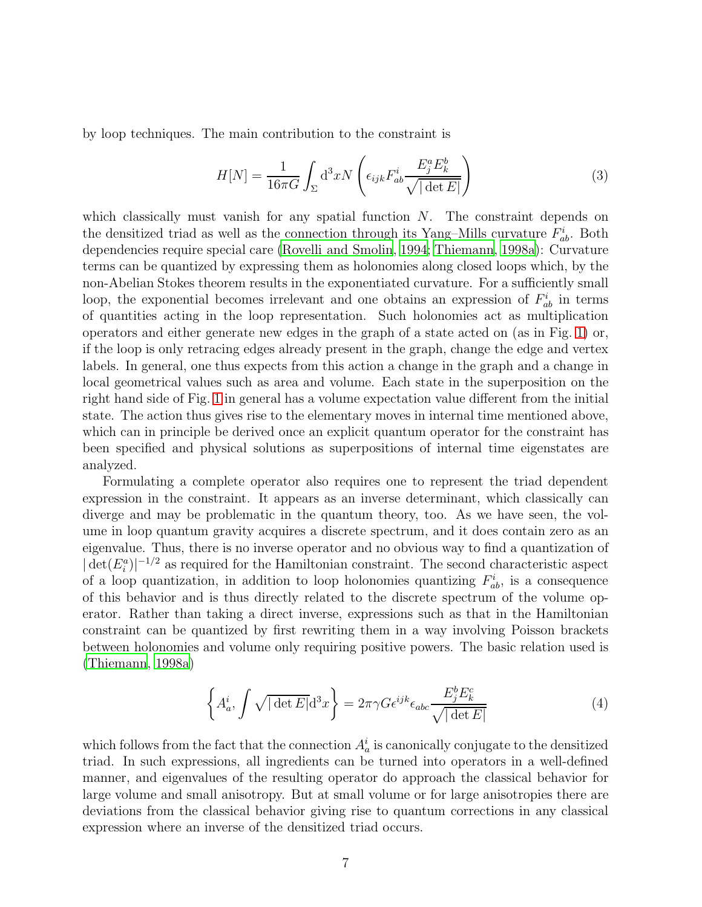by loop techniques. The main contribution to the constraint is

$$
H[N] = \frac{1}{16\pi G} \int_{\Sigma} d^3 x N \left( \epsilon_{ijk} F_{ab}^i \frac{E_j^a E_k^b}{\sqrt{|\det E|}} \right)
$$
 (3)

which classically must vanish for any spatial function  $N$ . The constraint depends on the densitized triad as well as the connection through its Yang–Mills curvature  $F_{ab}^i$ . Both dependencies require special care [\(Rovelli and Smolin, 1994;](#page-23-6) [Thiemann](#page-23-7), [1998a\)](#page-23-7): Curvature terms can be quantized by expressing them as holonomies along closed loops which, by the non-Abelian Stokes theorem results in the exponentiated curvature. For a sufficiently small loop, the exponential becomes irrelevant and one obtains an expression of  $F_{ab}^i$  in terms of quantities acting in the loop representation. Such holonomies act as multiplication operators and either generate new edges in the graph of a state acted on (as in Fig. [1\)](#page-5-0) or, if the loop is only retracing edges already present in the graph, change the edge and vertex labels. In general, one thus expects from this action a change in the graph and a change in local geometrical values such as area and volume. Each state in the superposition on the right hand side of Fig. [1](#page-5-0) in general has a volume expectation value different from the initial state. The action thus gives rise to the elementary moves in internal time mentioned above, which can in principle be derived once an explicit quantum operator for the constraint has been specified and physical solutions as superpositions of internal time eigenstates are analyzed.

Formulating a complete operator also requires one to represent the triad dependent expression in the constraint. It appears as an inverse determinant, which classically can diverge and may be problematic in the quantum theory, too. As we have seen, the volume in loop quantum gravity acquires a discrete spectrum, and it does contain zero as an eigenvalue. Thus, there is no inverse operator and no obvious way to find a quantization of  $|\det(E_i^a)|^{-1/2}$  as required for the Hamiltonian constraint. The second characteristic aspect of a loop quantization, in addition to loop holonomies quantizing  $F_{ab}^i$ , is a consequence of this behavior and is thus directly related to the discrete spectrum of the volume operator. Rather than taking a direct inverse, expressions such as that in the Hamiltonian constraint can be quantized by first rewriting them in a way involving Poisson brackets between holonomies and volume only requiring positive powers. The basic relation used is [\(Thiemann](#page-23-7), [1998a](#page-23-7))

<span id="page-6-0"></span>
$$
\left\{ A_a^i, \int \sqrt{|\det E|} d^3 x \right\} = 2\pi \gamma G \epsilon^{ijk} \epsilon_{abc} \frac{E_j^b E_k^c}{\sqrt{|\det E|}} \tag{4}
$$

which follows from the fact that the connection  $A_a^i$  is canonically conjugate to the densitized triad. In such expressions, all ingredients can be turned into operators in a well-defined manner, and eigenvalues of the resulting operator do approach the classical behavior for large volume and small anisotropy. But at small volume or for large anisotropies there are deviations from the classical behavior giving rise to quantum corrections in any classical expression where an inverse of the densitized triad occurs.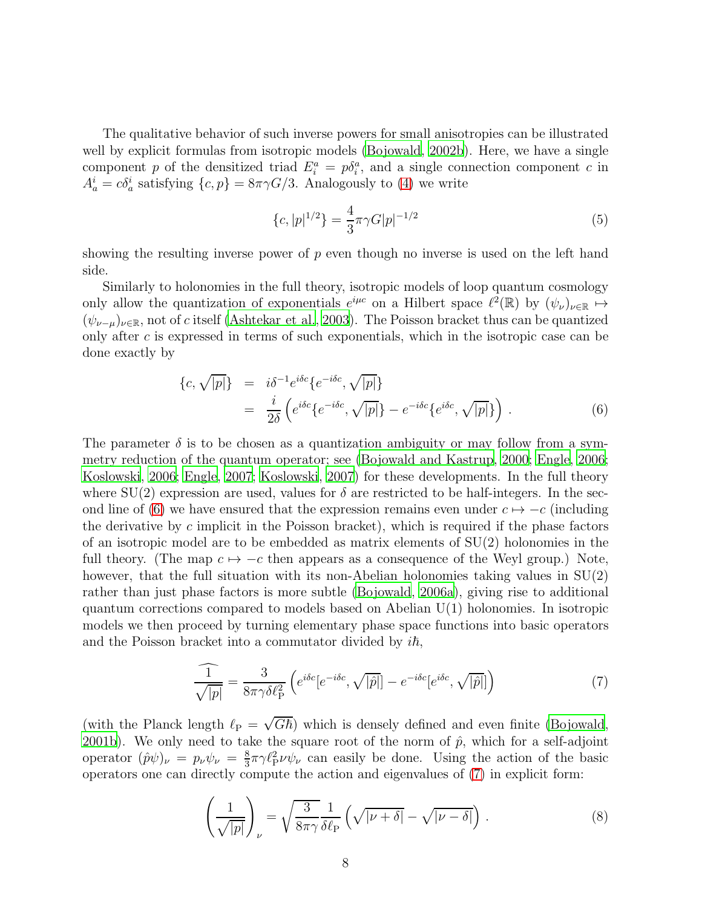The qualitative behavior of such inverse powers for small anisotropies can be illustrated well by explicit formulas from isotropic models [\(Bojowald](#page-20-9), [2002b\)](#page-20-9). Here, we have a single component p of the densitized triad  $E_i^a = p\delta_i^a$ , and a single connection component c in  $A_a^i = c \delta_a^i$  satisfying  $\{c, p\} = 8\pi \gamma G/3$ . Analogously to [\(4\)](#page-6-0) we write

$$
\{c, |p|^{1/2}\} = \frac{4}{3}\pi\gamma G|p|^{-1/2}
$$
\n(5)

showing the resulting inverse power of p even though no inverse is used on the left hand side.

Similarly to holonomies in the full theory, isotropic models of loop quantum cosmology only allow the quantization of exponentials  $e^{i\mu c}$  on a Hilbert space  $\ell^2(\mathbb{R})$  by  $(\psi_{\nu})_{\nu \in \mathbb{R}} \mapsto$  $(\psi_{\nu-\mu})_{\nu\in\mathbb{R}}$ , not of c itself [\(Ashtekar et al.](#page-19-2), [2003\)](#page-19-2). The Poisson bracket thus can be quantized only after c is expressed in terms of such exponentials, which in the isotropic case can be done exactly by

<span id="page-7-0"></span>
$$
\{c, \sqrt{|p|}\} = i\delta^{-1}e^{i\delta c} \{e^{-i\delta c}, \sqrt{|p|}\}\
$$

$$
= \frac{i}{2\delta} \left(e^{i\delta c} \{e^{-i\delta c}, \sqrt{|p|}\} - e^{-i\delta c} \{e^{i\delta c}, \sqrt{|p|}\}\right). \tag{6}
$$

The parameter  $\delta$  is to be chosen as a quantization ambiguity or may follow from a symmetry reduction of the quantum operator; see [\(Bojowald and Kastrup, 2000](#page-21-3); [Engle](#page-22-4), [2006;](#page-22-4) [Koslowski, 2006;](#page-22-5) [Engle](#page-22-6), [2007](#page-22-6); [Koslowski](#page-22-7), [2007\)](#page-22-7) for these developments. In the full theory where  $SU(2)$  expression are used, values for  $\delta$  are restricted to be half-integers. In the sec-ond line of [\(6\)](#page-7-0) we have ensured that the expression remains even under  $c \mapsto -c$  (including the derivative by  $c$  implicit in the Poisson bracket), which is required if the phase factors of an isotropic model are to be embedded as matrix elements of  $SU(2)$  holonomies in the full theory. (The map  $c \mapsto -c$  then appears as a consequence of the Weyl group.) Note, however, that the full situation with its non-Abelian holonomies taking values in  $SU(2)$ rather than just phase factors is more subtle [\(Bojowald, 2006a\)](#page-21-4), giving rise to additional quantum corrections compared to models based on Abelian U(1) holonomies. In isotropic models we then proceed by turning elementary phase space functions into basic operators and the Poisson bracket into a commutator divided by  $i\hbar$ ,

<span id="page-7-1"></span>
$$
\frac{1}{\sqrt{|p|}} = \frac{3}{8\pi\gamma\delta\ell_P^2} \left( e^{i\delta c} [e^{-i\delta c}, \sqrt{|\hat{p}|}] - e^{-i\delta c} [e^{i\delta c}, \sqrt{|\hat{p}|}] \right)
$$
(7)

(with the Planck length  $\ell_{\rm P} = \sqrt{G\hbar}$ ) which is densely defined and even finite [\(Bojowald,](#page-20-10) [2001b\)](#page-20-10). We only need to take the square root of the norm of  $\hat{p}$ , which for a self-adjoint operator  $(\hat{p}\psi)_{\nu} = p_{\nu}\psi_{\nu} = \frac{8}{3}$  $\frac{8}{3}\pi\gamma\ell_P^2\nu\psi_\nu$  can easily be done. Using the action of the basic operators one can directly compute the action and eigenvalues of [\(7\)](#page-7-1) in explicit form:

<span id="page-7-2"></span>
$$
\left(\frac{1}{\sqrt{|p|}}\right)_{\nu} = \sqrt{\frac{3}{8\pi\gamma}} \frac{1}{\delta\ell_{\rm P}} \left( \sqrt{|\nu + \delta|} - \sqrt{|\nu - \delta|} \right). \tag{8}
$$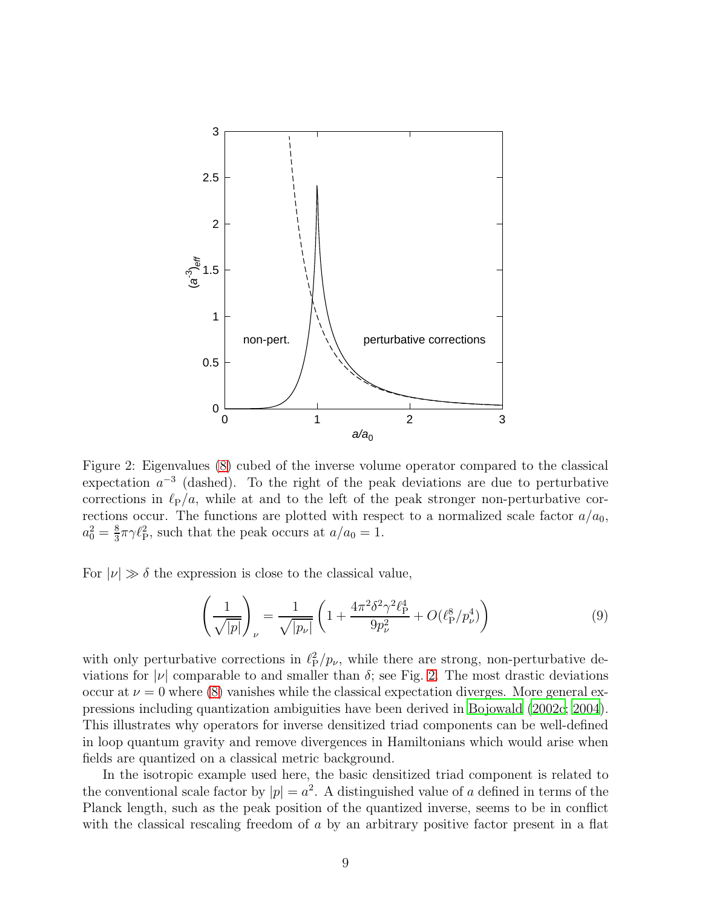

<span id="page-8-0"></span>Figure 2: Eigenvalues [\(8\)](#page-7-2) cubed of the inverse volume operator compared to the classical expectation  $a^{-3}$  (dashed). To the right of the peak deviations are due to perturbative corrections in  $\ell_P/a$ , while at and to the left of the peak stronger non-perturbative corrections occur. The functions are plotted with respect to a normalized scale factor  $a/a_0$ ,  $a_0^2 = \frac{8}{3}$  $\frac{8}{3}\pi\gamma\ell_{\rm P}^2$ , such that the peak occurs at  $a/a_0=1$ .

For  $|\nu| \gg \delta$  the expression is close to the classical value,

<span id="page-8-1"></span>
$$
\left(\frac{1}{\sqrt{|p|}}\right)_{\nu} = \frac{1}{\sqrt{|p_{\nu}|}} \left(1 + \frac{4\pi^2 \delta^2 \gamma^2 \ell_{\rm P}^4}{9p_{\nu}^2} + O(\ell_{\rm P}^8/p_{\nu}^4)\right) \tag{9}
$$

with only perturbative corrections in  $\ell_P^2/p_\nu$ , while there are strong, non-perturbative deviations for  $|\nu|$  comparable to and smaller than  $\delta$ ; see Fig. [2.](#page-8-0) The most drastic deviations occur at  $\nu = 0$  where [\(8\)](#page-7-2) vanishes while the classical expectation diverges. More general expressions including quantization ambiguities have been derived in [Bojowald \(2002c;](#page-20-11) [2004](#page-20-12)). This illustrates why operators for inverse densitized triad components can be well-defined in loop quantum gravity and remove divergences in Hamiltonians which would arise when fields are quantized on a classical metric background.

In the isotropic example used here, the basic densitized triad component is related to the conventional scale factor by  $|p| = a^2$ . A distinguished value of a defined in terms of the Planck length, such as the peak position of the quantized inverse, seems to be in conflict with the classical rescaling freedom of a by an arbitrary positive factor present in a flat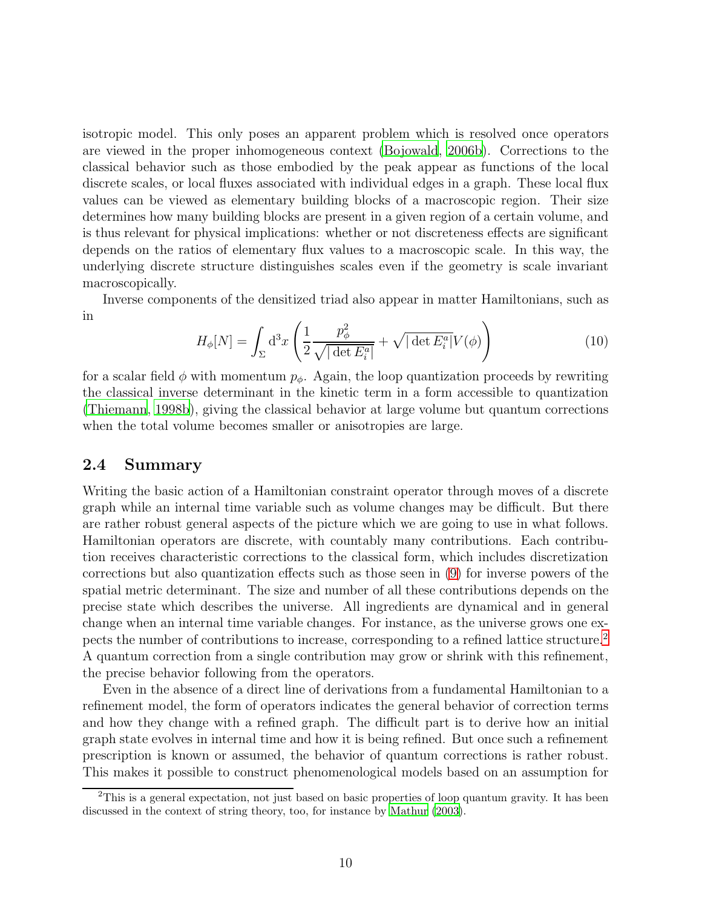isotropic model. This only poses an apparent problem which is resolved once operators are viewed in the proper inhomogeneous context [\(Bojowald](#page-21-5), [2006b\)](#page-21-5). Corrections to the classical behavior such as those embodied by the peak appear as functions of the local discrete scales, or local fluxes associated with individual edges in a graph. These local flux values can be viewed as elementary building blocks of a macroscopic region. Their size determines how many building blocks are present in a given region of a certain volume, and is thus relevant for physical implications: whether or not discreteness effects are significant depends on the ratios of elementary flux values to a macroscopic scale. In this way, the underlying discrete structure distinguishes scales even if the geometry is scale invariant macroscopically.

Inverse components of the densitized triad also appear in matter Hamiltonians, such as in

<span id="page-9-1"></span>
$$
H_{\phi}[N] = \int_{\Sigma} d^3x \left( \frac{1}{2} \frac{p_{\phi}^2}{\sqrt{|\det E_i^a|}} + \sqrt{|\det E_i^a|} V(\phi) \right) \tag{10}
$$

for a scalar field  $\phi$  with momentum  $p_{\phi}$ . Again, the loop quantization proceeds by rewriting the classical inverse determinant in the kinetic term in a form accessible to quantization [\(Thiemann](#page-23-8), [1998b](#page-23-8)), giving the classical behavior at large volume but quantum corrections when the total volume becomes smaller or anisotropies are large.

#### 2.4 Summary

Writing the basic action of a Hamiltonian constraint operator through moves of a discrete graph while an internal time variable such as volume changes may be difficult. But there are rather robust general aspects of the picture which we are going to use in what follows. Hamiltonian operators are discrete, with countably many contributions. Each contribution receives characteristic corrections to the classical form, which includes discretization corrections but also quantization effects such as those seen in [\(9\)](#page-8-1) for inverse powers of the spatial metric determinant. The size and number of all these contributions depends on the precise state which describes the universe. All ingredients are dynamical and in general change when an internal time variable changes. For instance, as the universe grows one expects the number of contributions to increase, corresponding to a refined lattice structure.[2](#page-9-0) A quantum correction from a single contribution may grow or shrink with this refinement, the precise behavior following from the operators.

Even in the absence of a direct line of derivations from a fundamental Hamiltonian to a refinement model, the form of operators indicates the general behavior of correction terms and how they change with a refined graph. The difficult part is to derive how an initial graph state evolves in internal time and how it is being refined. But once such a refinement prescription is known or assumed, the behavior of quantum corrections is rather robust. This makes it possible to construct phenomenological models based on an assumption for

<span id="page-9-0"></span><sup>&</sup>lt;sup>2</sup>This is a general expectation, not just based on basic properties of loop quantum gravity. It has been discussed in the context of string theory, too, for instance by [Mathur \(2003\)](#page-22-8).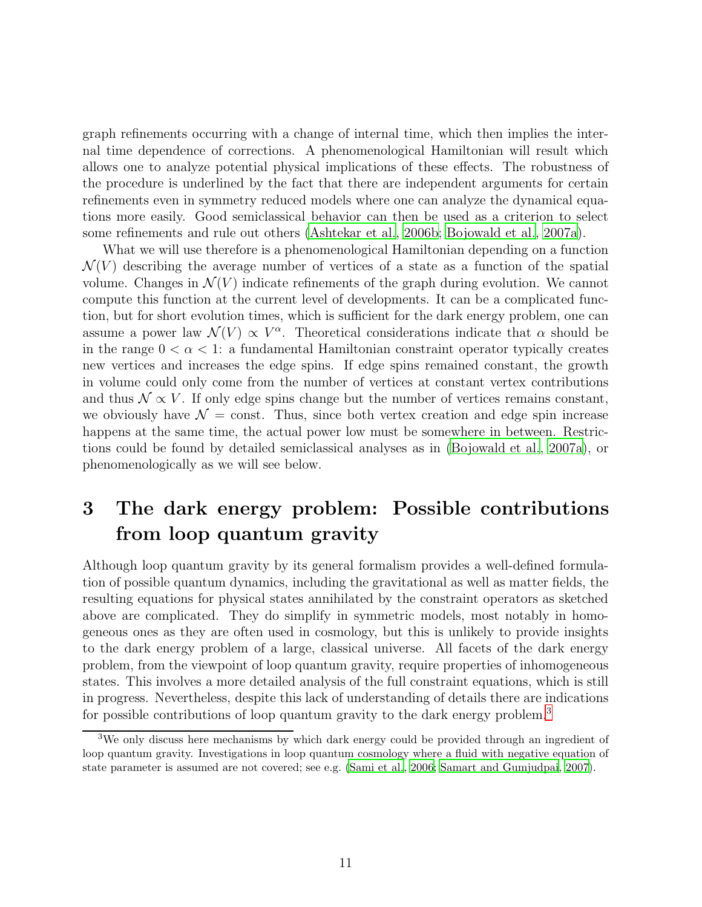graph refinements occurring with a change of internal time, which then implies the internal time dependence of corrections. A phenomenological Hamiltonian will result which allows one to analyze potential physical implications of these effects. The robustness of the procedure is underlined by the fact that there are independent arguments for certain refinements even in symmetry reduced models where one can analyze the dynamical equations more easily. Good semiclassical behavior can then be used as a criterion to select some refinements and rule out others [\(Ashtekar et al.](#page-20-13), [2006b;](#page-20-13) [Bojowald et al.](#page-21-6), [2007a\)](#page-21-6).

What we will use therefore is a phenomenological Hamiltonian depending on a function  $\mathcal{N}(V)$  describing the average number of vertices of a state as a function of the spatial volume. Changes in  $\mathcal{N}(V)$  indicate refinements of the graph during evolution. We cannot compute this function at the current level of developments. It can be a complicated function, but for short evolution times, which is sufficient for the dark energy problem, one can assume a power law  $\mathcal{N}(V) \propto V^{\alpha}$ . Theoretical considerations indicate that  $\alpha$  should be in the range  $0 < \alpha < 1$ : a fundamental Hamiltonian constraint operator typically creates new vertices and increases the edge spins. If edge spins remained constant, the growth in volume could only come from the number of vertices at constant vertex contributions and thus  $\mathcal{N} \propto V$ . If only edge spins change but the number of vertices remains constant, we obviously have  $\mathcal{N} = \text{const.}$  Thus, since both vertex creation and edge spin increase happens at the same time, the actual power low must be somewhere in between. Restrictions could be found by detailed semiclassical analyses as in [\(Bojowald](#page-21-6) et al., [2007a](#page-21-6)), or phenomenologically as we will see below.

# 3 The dark energy problem: Possible contributions from loop quantum gravity

Although loop quantum gravity by its general formalism provides a well-defined formulation of possible quantum dynamics, including the gravitational as well as matter fields, the resulting equations for physical states annihilated by the constraint operators as sketched above are complicated. They do simplify in symmetric models, most notably in homogeneous ones as they are often used in cosmology, but this is unlikely to provide insights to the dark energy problem of a large, classical universe. All facets of the dark energy problem, from the viewpoint of loop quantum gravity, require properties of inhomogeneous states. This involves a more detailed analysis of the full constraint equations, which is still in progress. Nevertheless, despite this lack of understanding of details there are indications for possible contributions of loop quantum gravity to the dark energy problem.[3](#page-10-0)

<span id="page-10-0"></span><sup>&</sup>lt;sup>3</sup>We only discuss here mechanisms by which dark energy could be provided through an ingredient of loop quantum gravity. Investigations in loop quantum cosmology where a fluid with negative equation of state parameter is assumed are not covered; see e.g. [\(Sami et al.](#page-23-9), [2006](#page-23-9); [Samart and Gumjudpai, 2007\)](#page-23-10).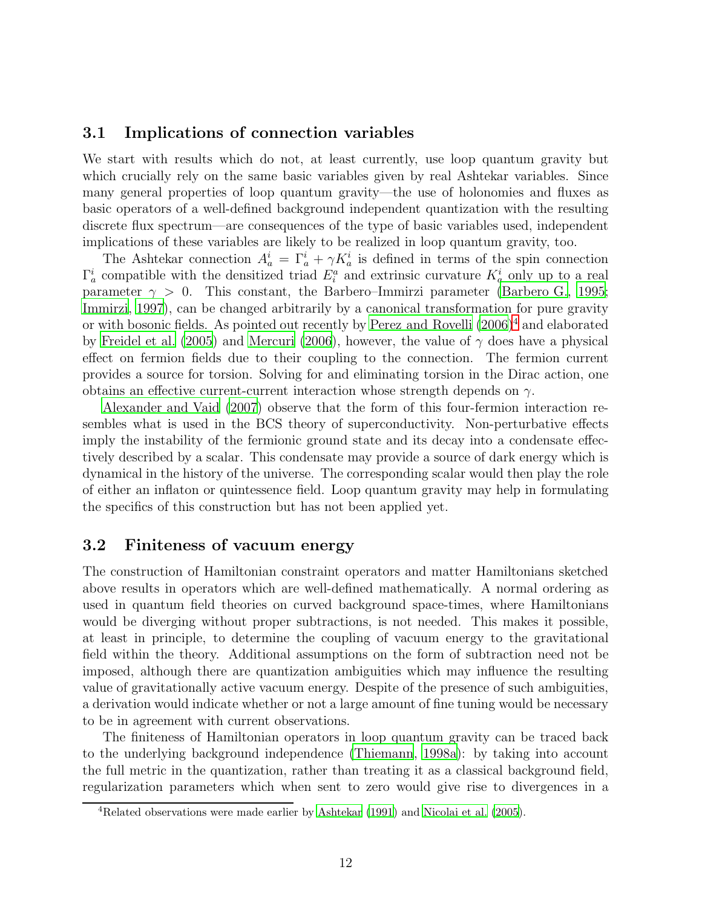#### 3.1 Implications of connection variables

We start with results which do not, at least currently, use loop quantum gravity but which crucially rely on the same basic variables given by real Ashtekar variables. Since many general properties of loop quantum gravity—the use of holonomies and fluxes as basic operators of a well-defined background independent quantization with the resulting discrete flux spectrum—are consequences of the type of basic variables used, independent implications of these variables are likely to be realized in loop quantum gravity, too.

The Ashtekar connection  $A_a^i = \Gamma_a^i + \gamma K_a^i$  is defined in terms of the spin connection  $\Gamma_a^i$  compatible with the densitized triad  $E_i^a$  and extrinsic curvature  $K_a^i$  only up to a real parameter  $\gamma > 0$ . This constant, the Barbero–Immirzi parameter [\(Barbero G.](#page-20-5), [1995;](#page-20-5) [Immirzi, 1997\)](#page-22-0), can be changed arbitrarily by a canonical transformation for pure gravity or with bosonic fields. As pointed out recently by Perez and Rovelli  $(2006)^4$  $(2006)^4$  and elaborated by [Freidel et al. \(2005](#page-22-9)) and [Mercuri \(2006\)](#page-22-10), however, the value of  $\gamma$  does have a physical effect on fermion fields due to their coupling to the connection. The fermion current provides a source for torsion. Solving for and eliminating torsion in the Dirac action, one obtains an effective current-current interaction whose strength depends on  $\gamma$ .

[Alexander and Vaid \(2007\)](#page-19-3) observe that the form of this four-fermion interaction resembles what is used in the BCS theory of superconductivity. Non-perturbative effects imply the instability of the fermionic ground state and its decay into a condensate effectively described by a scalar. This condensate may provide a source of dark energy which is dynamical in the history of the universe. The corresponding scalar would then play the role of either an inflaton or quintessence field. Loop quantum gravity may help in formulating the specifics of this construction but has not been applied yet.

#### 3.2 Finiteness of vacuum energy

The construction of Hamiltonian constraint operators and matter Hamiltonians sketched above results in operators which are well-defined mathematically. A normal ordering as used in quantum field theories on curved background space-times, where Hamiltonians would be diverging without proper subtractions, is not needed. This makes it possible, at least in principle, to determine the coupling of vacuum energy to the gravitational field within the theory. Additional assumptions on the form of subtraction need not be imposed, although there are quantization ambiguities which may influence the resulting value of gravitationally active vacuum energy. Despite of the presence of such ambiguities, a derivation would indicate whether or not a large amount of fine tuning would be necessary to be in agreement with current observations.

The finiteness of Hamiltonian operators in loop quantum gravity can be traced back to the underlying background independence [\(Thiemann](#page-23-7), [1998a\)](#page-23-7): by taking into account the full metric in the quantization, rather than treating it as a classical background field, regularization parameters which when sent to zero would give rise to divergences in a

<span id="page-11-0"></span><sup>4</sup>Related observations were made earlier by [Ashtekar \(1991](#page-19-4)) and [Nicolai et al. \(2005\)](#page-22-11).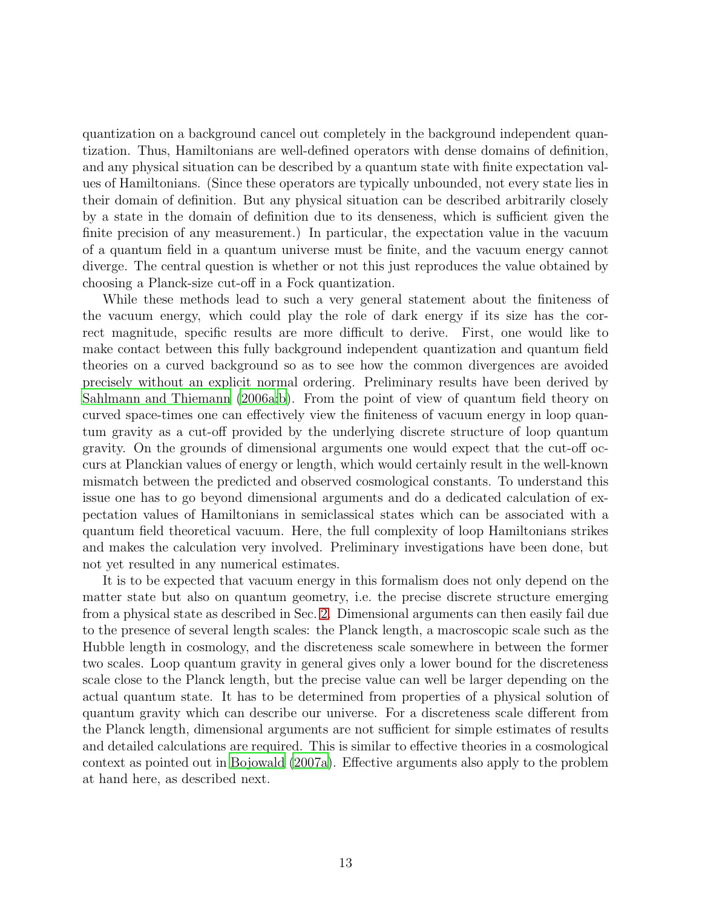quantization on a background cancel out completely in the background independent quantization. Thus, Hamiltonians are well-defined operators with dense domains of definition, and any physical situation can be described by a quantum state with finite expectation values of Hamiltonians. (Since these operators are typically unbounded, not every state lies in their domain of definition. But any physical situation can be described arbitrarily closely by a state in the domain of definition due to its denseness, which is sufficient given the finite precision of any measurement.) In particular, the expectation value in the vacuum of a quantum field in a quantum universe must be finite, and the vacuum energy cannot diverge. The central question is whether or not this just reproduces the value obtained by choosing a Planck-size cut-off in a Fock quantization.

While these methods lead to such a very general statement about the finiteness of the vacuum energy, which could play the role of dark energy if its size has the correct magnitude, specific results are more difficult to derive. First, one would like to make contact between this fully background independent quantization and quantum field theories on a curved background so as to see how the common divergences are avoided precisely without an explicit normal ordering. Preliminary results have been derived by [Sahlmann and Thiemann \(2006a](#page-23-12)[;b\)](#page-23-13). From the point of view of quantum field theory on curved space-times one can effectively view the finiteness of vacuum energy in loop quantum gravity as a cut-off provided by the underlying discrete structure of loop quantum gravity. On the grounds of dimensional arguments one would expect that the cut-off occurs at Planckian values of energy or length, which would certainly result in the well-known mismatch between the predicted and observed cosmological constants. To understand this issue one has to go beyond dimensional arguments and do a dedicated calculation of expectation values of Hamiltonians in semiclassical states which can be associated with a quantum field theoretical vacuum. Here, the full complexity of loop Hamiltonians strikes and makes the calculation very involved. Preliminary investigations have been done, but not yet resulted in any numerical estimates.

It is to be expected that vacuum energy in this formalism does not only depend on the matter state but also on quantum geometry, i.e. the precise discrete structure emerging from a physical state as described in Sec. [2.](#page-2-0) Dimensional arguments can then easily fail due to the presence of several length scales: the Planck length, a macroscopic scale such as the Hubble length in cosmology, and the discreteness scale somewhere in between the former two scales. Loop quantum gravity in general gives only a lower bound for the discreteness scale close to the Planck length, but the precise value can well be larger depending on the actual quantum state. It has to be determined from properties of a physical solution of quantum gravity which can describe our universe. For a discreteness scale different from the Planck length, dimensional arguments are not sufficient for simple estimates of results and detailed calculations are required. This is similar to effective theories in a cosmological context as pointed out in [Bojowald \(2007a\)](#page-21-7). Effective arguments also apply to the problem at hand here, as described next.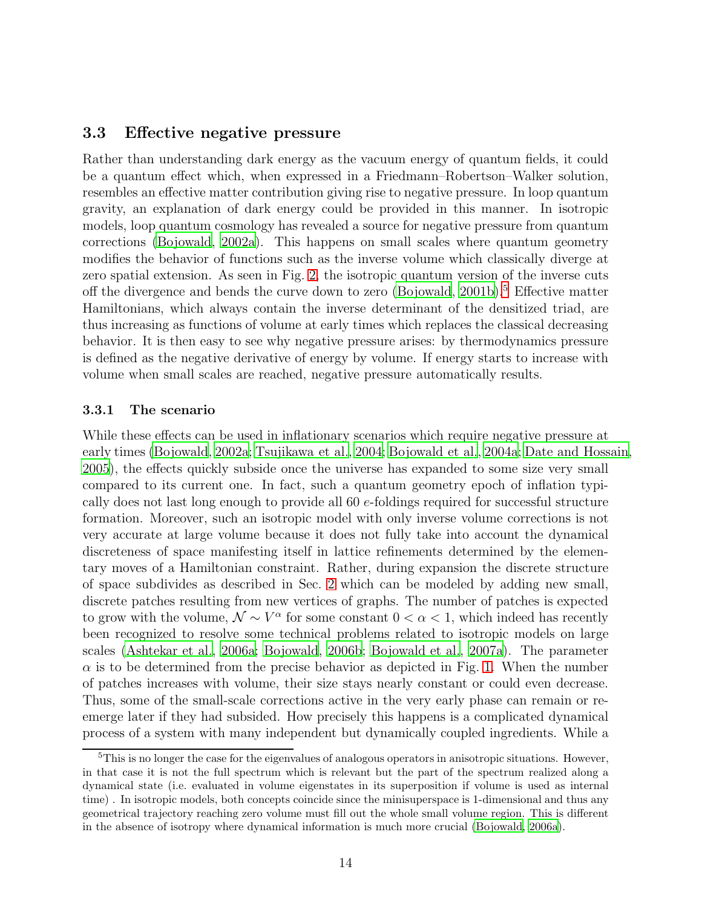#### 3.3 Effective negative pressure

Rather than understanding dark energy as the vacuum energy of quantum fields, it could be a quantum effect which, when expressed in a Friedmann–Robertson–Walker solution, resembles an effective matter contribution giving rise to negative pressure. In loop quantum gravity, an explanation of dark energy could be provided in this manner. In isotropic models, loop quantum cosmology has revealed a source for negative pressure from quantum corrections [\(Bojowald, 2002a\)](#page-20-14). This happens on small scales where quantum geometry modifies the behavior of functions such as the inverse volume which classically diverge at zero spatial extension. As seen in Fig. [2,](#page-8-0) the isotropic quantum version of the inverse cuts off the divergence and bends the curve down to zero [\(Bojowald](#page-20-10), [2001b](#page-20-10)).<sup>[5](#page-13-0)</sup> Effective matter Hamiltonians, which always contain the inverse determinant of the densitized triad, are thus increasing as functions of volume at early times which replaces the classical decreasing behavior. It is then easy to see why negative pressure arises: by thermodynamics pressure is defined as the negative derivative of energy by volume. If energy starts to increase with volume when small scales are reached, negative pressure automatically results.

#### 3.3.1 The scenario

While these effects can be used in inflationary scenarios which require negative pressure at early times [\(Bojowald, 2002a;](#page-20-14) [Tsujikawa et al.](#page-23-14), [2004](#page-23-14); [Bojowald et al.,](#page-21-8) [2004a;](#page-21-8) [Date and Hossain](#page-22-12), [2005\)](#page-22-12), the effects quickly subside once the universe has expanded to some size very small compared to its current one. In fact, such a quantum geometry epoch of inflation typically does not last long enough to provide all 60 e-foldings required for successful structure formation. Moreover, such an isotropic model with only inverse volume corrections is not very accurate at large volume because it does not fully take into account the dynamical discreteness of space manifesting itself in lattice refinements determined by the elementary moves of a Hamiltonian constraint. Rather, during expansion the discrete structure of space subdivides as described in Sec. [2](#page-2-0) which can be modeled by adding new small, discrete patches resulting from new vertices of graphs. The number of patches is expected to grow with the volume,  $\mathcal{N} \sim V^{\alpha}$  for some constant  $0 < \alpha < 1$ , which indeed has recently been recognized to resolve some technical problems related to isotropic models on large scales [\(Ashtekar et al.](#page-20-15), [2006a;](#page-20-15) [Bojowald](#page-21-5), [2006b;](#page-21-5) [Bojowald et al.](#page-21-6), [2007a\)](#page-21-6). The parameter  $\alpha$  is to be determined from the precise behavior as depicted in Fig. [1.](#page-5-0) When the number of patches increases with volume, their size stays nearly constant or could even decrease. Thus, some of the small-scale corrections active in the very early phase can remain or reemerge later if they had subsided. How precisely this happens is a complicated dynamical process of a system with many independent but dynamically coupled ingredients. While a

<span id="page-13-0"></span> ${}^{5}$ This is no longer the case for the eigenvalues of analogous operators in anisotropic situations. However, in that case it is not the full spectrum which is relevant but the part of the spectrum realized along a dynamical state (i.e. evaluated in volume eigenstates in its superposition if volume is used as internal time) . In isotropic models, both concepts coincide since the minisuperspace is 1-dimensional and thus any geometrical trajectory reaching zero volume must fill out the whole small volume region. This is different in the absence of isotropy where dynamical information is much more crucial [\(Bojowald, 2006a\)](#page-21-4).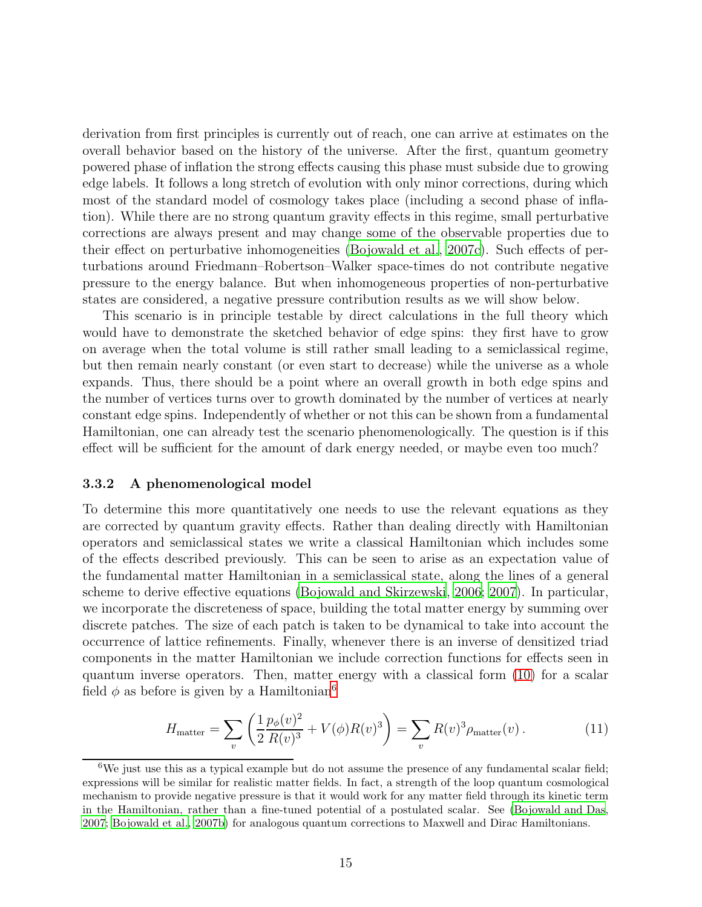derivation from first principles is currently out of reach, one can arrive at estimates on the overall behavior based on the history of the universe. After the first, quantum geometry powered phase of inflation the strong effects causing this phase must subside due to growing edge labels. It follows a long stretch of evolution with only minor corrections, during which most of the standard model of cosmology takes place (including a second phase of inflation). While there are no strong quantum gravity effects in this regime, small perturbative corrections are always present and may change some of the observable properties due to their effect on perturbative inhomogeneities [\(Bojowald et al., 2007c\)](#page-21-0). Such effects of perturbations around Friedmann–Robertson–Walker space-times do not contribute negative pressure to the energy balance. But when inhomogeneous properties of non-perturbative states are considered, a negative pressure contribution results as we will show below.

This scenario is in principle testable by direct calculations in the full theory which would have to demonstrate the sketched behavior of edge spins: they first have to grow on average when the total volume is still rather small leading to a semiclassical regime, but then remain nearly constant (or even start to decrease) while the universe as a whole expands. Thus, there should be a point where an overall growth in both edge spins and the number of vertices turns over to growth dominated by the number of vertices at nearly constant edge spins. Independently of whether or not this can be shown from a fundamental Hamiltonian, one can already test the scenario phenomenologically. The question is if this effect will be sufficient for the amount of dark energy needed, or maybe even too much?

#### 3.3.2 A phenomenological model

To determine this more quantitatively one needs to use the relevant equations as they are corrected by quantum gravity effects. Rather than dealing directly with Hamiltonian operators and semiclassical states we write a classical Hamiltonian which includes some of the effects described previously. This can be seen to arise as an expectation value of the fundamental matter Hamiltonian in a semiclassical state, along the lines of a general scheme to derive effective equations [\(Bojowald and Skirzewski](#page-21-9), [2006;](#page-21-9) [2007](#page-21-10)). In particular, we incorporate the discreteness of space, building the total matter energy by summing over discrete patches. The size of each patch is taken to be dynamical to take into account the occurrence of lattice refinements. Finally, whenever there is an inverse of densitized triad components in the matter Hamiltonian we include correction functions for effects seen in quantum inverse operators. Then, matter energy with a classical form [\(10\)](#page-9-1) for a scalar field  $\phi$  as before is given by a Hamiltonian<sup>[6](#page-14-0)</sup>

<span id="page-14-1"></span>
$$
H_{\text{matter}} = \sum_{v} \left( \frac{1}{2} \frac{p_{\phi}(v)^2}{R(v)^3} + V(\phi)R(v)^3 \right) = \sum_{v} R(v)^3 \rho_{\text{matter}}(v) \,. \tag{11}
$$

<span id="page-14-0"></span> $6$ We just use this as a typical example but do not assume the presence of any fundamental scalar field; expressions will be similar for realistic matter fields. In fact, a strength of the loop quantum cosmological mechanism to provide negative pressure is that it would work for any matter field through its kinetic term in the Hamiltonian, rather than a fine-tuned potential of a postulated scalar. See [\(Bojowald and Das](#page-21-11), [2007;](#page-21-11) [Bojowald et al.](#page-21-12), [2007b\)](#page-21-12) for analogous quantum corrections to Maxwell and Dirac Hamiltonians.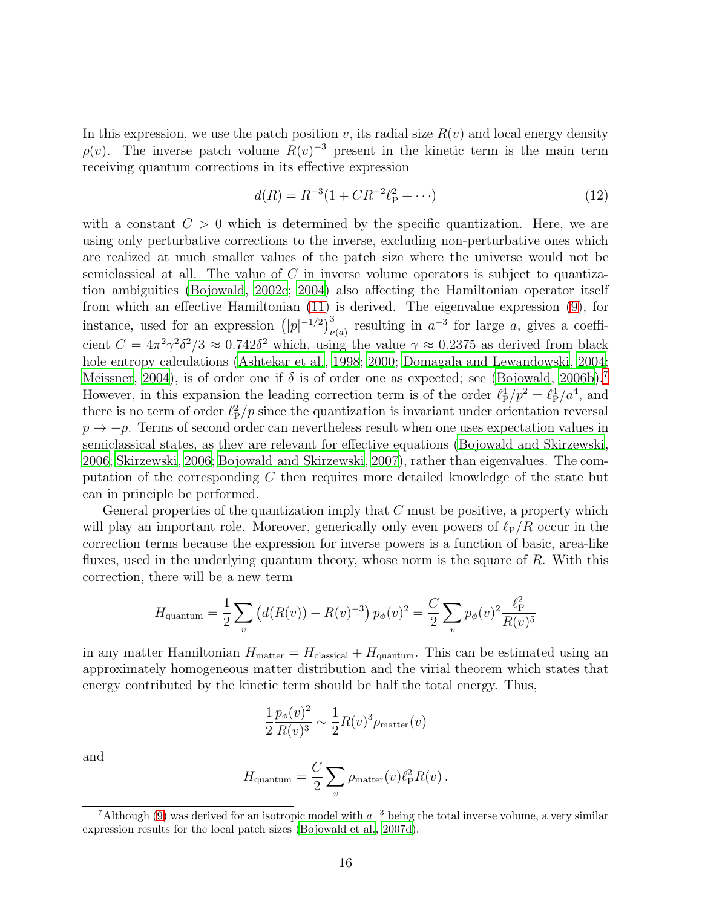In this expression, we use the patch position v, its radial size  $R(v)$  and local energy density  $\rho(v)$ . The inverse patch volume  $R(v)^{-3}$  present in the kinetic term is the main term receiving quantum corrections in its effective expression

<span id="page-15-1"></span>
$$
d(R) = R^{-3}(1 + CR^{-2}\ell_{\rm P}^2 + \cdots)
$$
\n(12)

with a constant  $C > 0$  which is determined by the specific quantization. Here, we are using only perturbative corrections to the inverse, excluding non-perturbative ones which are realized at much smaller values of the patch size where the universe would not be semiclassical at all. The value of C in inverse volume operators is subject to quantization ambiguities [\(Bojowald](#page-20-11), [2002c](#page-20-11); [2004](#page-20-12)) also affecting the Hamiltonian operator itself from which an effective Hamiltonian [\(11\)](#page-14-1) is derived. The eigenvalue expression [\(9\)](#page-8-1), for instance, used for an expression  $(|p|^{-1/2})_{\nu(a)}^3$  resulting in  $a^{-3}$  for large a, gives a coefficient  $C = 4\pi^2 \gamma^2 \delta^2/3 \approx 0.742\delta^2$  which, using the value  $\gamma \approx 0.2375$  as derived from black hole entropy calculations [\(Ashtekar et al.](#page-19-5), [1998;](#page-19-5) [2000;](#page-19-6) [Domagala and Lewandowski](#page-22-13), [2004;](#page-22-13) [Meissner](#page-22-14), [2004\)](#page-22-14), is of order one if  $\delta$  is of order one as expected; see [\(Bojowald, 2006b\)](#page-21-5).<sup>[7](#page-15-0)</sup> However, in this expansion the leading correction term is of the order  $\ell_{\rm P}^4/p^2 = \ell_{\rm P}^4/a^4$ , and there is no term of order  $\ell_P^2/p$  since the quantization is invariant under orientation reversal  $p \mapsto -p$ . Terms of second order can nevertheless result when one uses expectation values in semiclassical states, as they are relevant for effective equations [\(Bojowald and Skirzewski](#page-21-9), [2006;](#page-21-9) [Skirzewski, 2006](#page-23-15); [Bojowald and Skirzewski](#page-21-10), [2007\)](#page-21-10), rather than eigenvalues. The computation of the corresponding C then requires more detailed knowledge of the state but can in principle be performed.

General properties of the quantization imply that  $C$  must be positive, a property which will play an important role. Moreover, generically only even powers of  $\ell_P/R$  occur in the correction terms because the expression for inverse powers is a function of basic, area-like fluxes, used in the underlying quantum theory, whose norm is the square of  $R$ . With this correction, there will be a new term

$$
H_{\text{quantum}} = \frac{1}{2} \sum_{v} \left( d(R(v)) - R(v)^{-3} \right) p_{\phi}(v)^{2} = \frac{C}{2} \sum_{v} p_{\phi}(v)^{2} \frac{\ell_{\text{P}}^{2}}{R(v)^{5}}
$$

in any matter Hamiltonian  $H_{\text{matter}} = H_{\text{classical}} + H_{\text{quantum}}$ . This can be estimated using an approximately homogeneous matter distribution and the virial theorem which states that energy contributed by the kinetic term should be half the total energy. Thus,

$$
\frac{1}{2} \frac{p_{\phi}(v)^2}{R(v)^3} \sim \frac{1}{2} R(v)^3 \rho_{\text{matter}}(v)
$$

and

$$
H_{\text{quantum}} = \frac{C}{2} \sum_{v} \rho_{\text{matter}}(v) \ell_{\text{P}}^2 R(v) \,.
$$

<span id="page-15-0"></span><sup>&</sup>lt;sup>7</sup>Although [\(9\)](#page-8-1) was derived for an isotropic model with  $a^{-3}$  being the total inverse volume, a very similar expression results for the local patch sizes [\(Bojowald et al., 2007d\)](#page-21-13).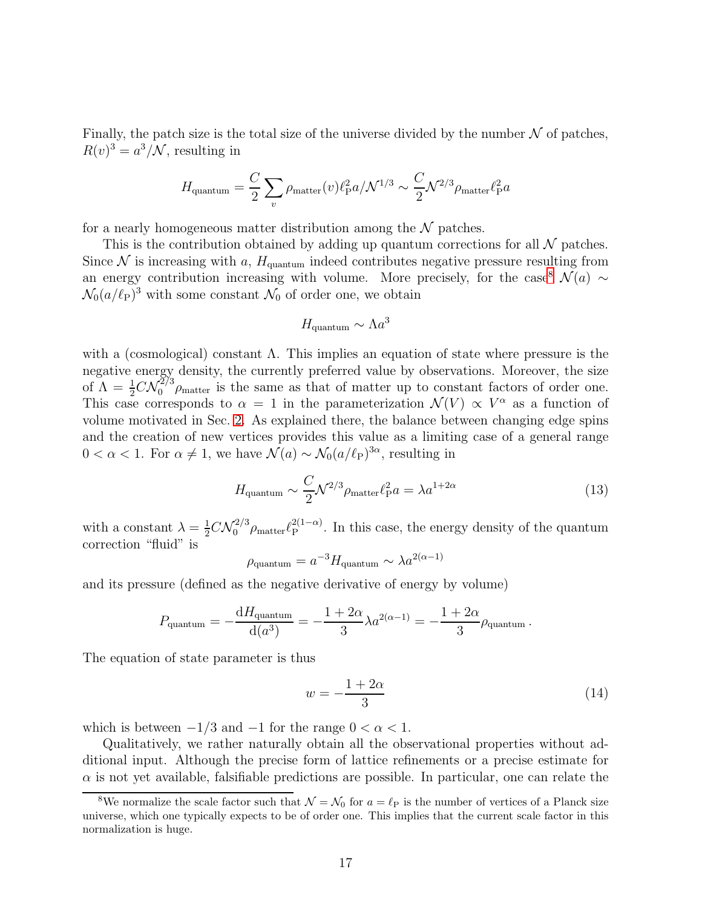Finally, the patch size is the total size of the universe divided by the number  $\mathcal N$  of patches,  $R(v)^3 = a^3/N$ , resulting in

$$
H_{\rm quantum} = \frac{C}{2} \sum_{v} \rho_{\rm matter}(v) \ell_{\rm P}^2 a / \mathcal{N}^{1/3} \sim \frac{C}{2} \mathcal{N}^{2/3} \rho_{\rm matter} \ell_{\rm P}^2 a
$$

for a nearly homogeneous matter distribution among the  $N$  patches.

This is the contribution obtained by adding up quantum corrections for all  $\mathcal N$  patches. Since  $\mathcal N$  is increasing with a,  $H_{\text{quantum}}$  indeed contributes negative pressure resulting from an energy contribution increasing with volume. More precisely, for the case<sup>[8](#page-16-0)</sup>  $\mathcal{N}(a) \sim$  $\mathcal{N}_0(a/\ell_{\mathrm{P}})^3$  with some constant  $\mathcal{N}_0$  of order one, we obtain

$$
H_{\text{quantum}} \sim \Lambda a^3
$$

with a (cosmological) constant  $\Lambda$ . This implies an equation of state where pressure is the negative energy density, the currently preferred value by observations. Moreover, the size of  $\Lambda = \frac{1}{2} C \mathcal{N}_0^{2/3} \rho_{\text{matter}}$  is the same as that of matter up to constant factors of order one. This case corresponds to  $\alpha = 1$  in the parameterization  $\mathcal{N}(V) \propto V^{\alpha}$  as a function of volume motivated in Sec. [2.](#page-2-0) As explained there, the balance between changing edge spins and the creation of new vertices provides this value as a limiting case of a general range  $0 < \alpha < 1$ . For  $\alpha \neq 1$ , we have  $\mathcal{N}(a) \sim \mathcal{N}_0(a/\ell_P)^{3\alpha}$ , resulting in

$$
H_{\text{quantum}} \sim \frac{C}{2} \mathcal{N}^{2/3} \rho_{\text{matter}} \ell_{\text{P}}^2 a = \lambda a^{1+2\alpha} \tag{13}
$$

with a constant  $\lambda = \frac{1}{2} C \mathcal{N}_0^{2/3} \rho_{\text{matter}} \ell_P^{2(1-\alpha)}$  $P_P^{2(1-\alpha)}$ . In this case, the energy density of the quantum correction "fluid" is

$$
\rho_{\text{quantum}} = a^{-3} H_{\text{quantum}} \sim \lambda a^{2(\alpha - 1)}
$$

and its pressure (defined as the negative derivative of energy by volume)

$$
P_{\rm quantum} = -\frac{\mathrm{d}H_{\rm quantum}}{\mathrm{d}(a^3)} = -\frac{1+2\alpha}{3}\lambda a^{2(\alpha-1)} = -\frac{1+2\alpha}{3}\rho_{\rm quantum}.
$$

The equation of state parameter is thus

<span id="page-16-1"></span>
$$
w = -\frac{1+2\alpha}{3} \tag{14}
$$

which is between  $-1/3$  and  $-1$  for the range  $0 < \alpha < 1$ .

Qualitatively, we rather naturally obtain all the observational properties without additional input. Although the precise form of lattice refinements or a precise estimate for  $\alpha$  is not yet available, falsifiable predictions are possible. In particular, one can relate the

<span id="page-16-0"></span><sup>&</sup>lt;sup>8</sup>We normalize the scale factor such that  $\mathcal{N} = \mathcal{N}_0$  for  $a = \ell_P$  is the number of vertices of a Planck size universe, which one typically expects to be of order one. This implies that the current scale factor in this normalization is huge.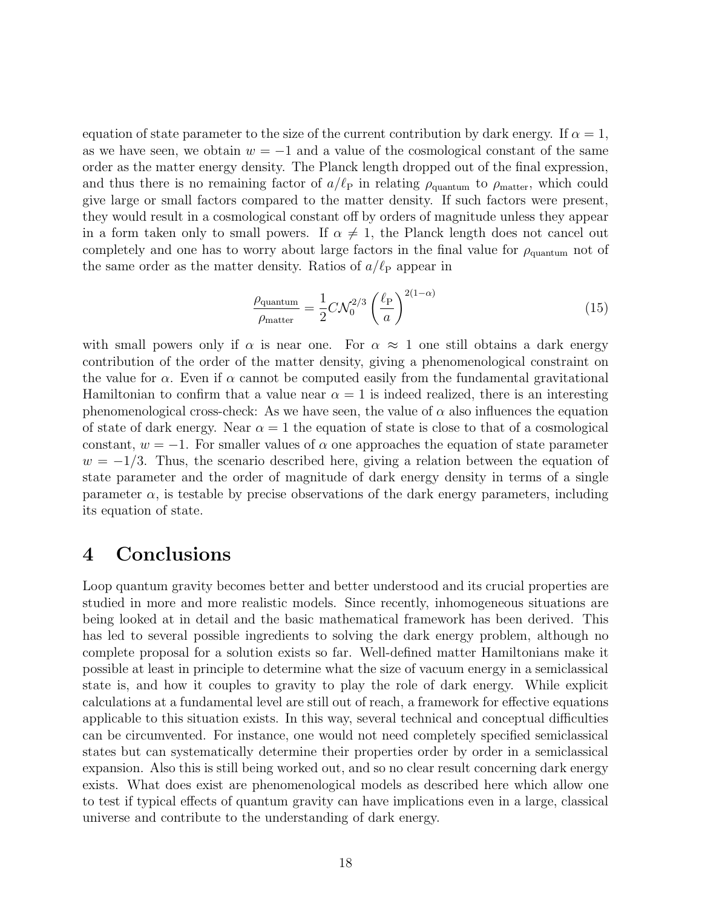equation of state parameter to the size of the current contribution by dark energy. If  $\alpha = 1$ , as we have seen, we obtain  $w = -1$  and a value of the cosmological constant of the same order as the matter energy density. The Planck length dropped out of the final expression, and thus there is no remaining factor of  $a/\ell_{\rm P}$  in relating  $\rho_{\rm quantum}$  to  $\rho_{\rm matter}$ , which could give large or small factors compared to the matter density. If such factors were present, they would result in a cosmological constant off by orders of magnitude unless they appear in a form taken only to small powers. If  $\alpha \neq 1$ , the Planck length does not cancel out completely and one has to worry about large factors in the final value for  $\rho_{quantum}$  not of the same order as the matter density. Ratios of  $a/\ell_{\rm P}$  appear in

<span id="page-17-0"></span>
$$
\frac{\rho_{\text{quantum}}}{\rho_{\text{matter}}} = \frac{1}{2} C \mathcal{N}_0^{2/3} \left(\frac{\ell_{\text{P}}}{a}\right)^{2(1-\alpha)} \tag{15}
$$

with small powers only if  $\alpha$  is near one. For  $\alpha \approx 1$  one still obtains a dark energy contribution of the order of the matter density, giving a phenomenological constraint on the value for  $\alpha$ . Even if  $\alpha$  cannot be computed easily from the fundamental gravitational Hamiltonian to confirm that a value near  $\alpha = 1$  is indeed realized, there is an interesting phenomenological cross-check: As we have seen, the value of  $\alpha$  also influences the equation of state of dark energy. Near  $\alpha = 1$  the equation of state is close to that of a cosmological constant,  $w = -1$ . For smaller values of  $\alpha$  one approaches the equation of state parameter  $w = -1/3$ . Thus, the scenario described here, giving a relation between the equation of state parameter and the order of magnitude of dark energy density in terms of a single parameter  $\alpha$ , is testable by precise observations of the dark energy parameters, including its equation of state.

## 4 Conclusions

Loop quantum gravity becomes better and better understood and its crucial properties are studied in more and more realistic models. Since recently, inhomogeneous situations are being looked at in detail and the basic mathematical framework has been derived. This has led to several possible ingredients to solving the dark energy problem, although no complete proposal for a solution exists so far. Well-defined matter Hamiltonians make it possible at least in principle to determine what the size of vacuum energy in a semiclassical state is, and how it couples to gravity to play the role of dark energy. While explicit calculations at a fundamental level are still out of reach, a framework for effective equations applicable to this situation exists. In this way, several technical and conceptual difficulties can be circumvented. For instance, one would not need completely specified semiclassical states but can systematically determine their properties order by order in a semiclassical expansion. Also this is still being worked out, and so no clear result concerning dark energy exists. What does exist are phenomenological models as described here which allow one to test if typical effects of quantum gravity can have implications even in a large, classical universe and contribute to the understanding of dark energy.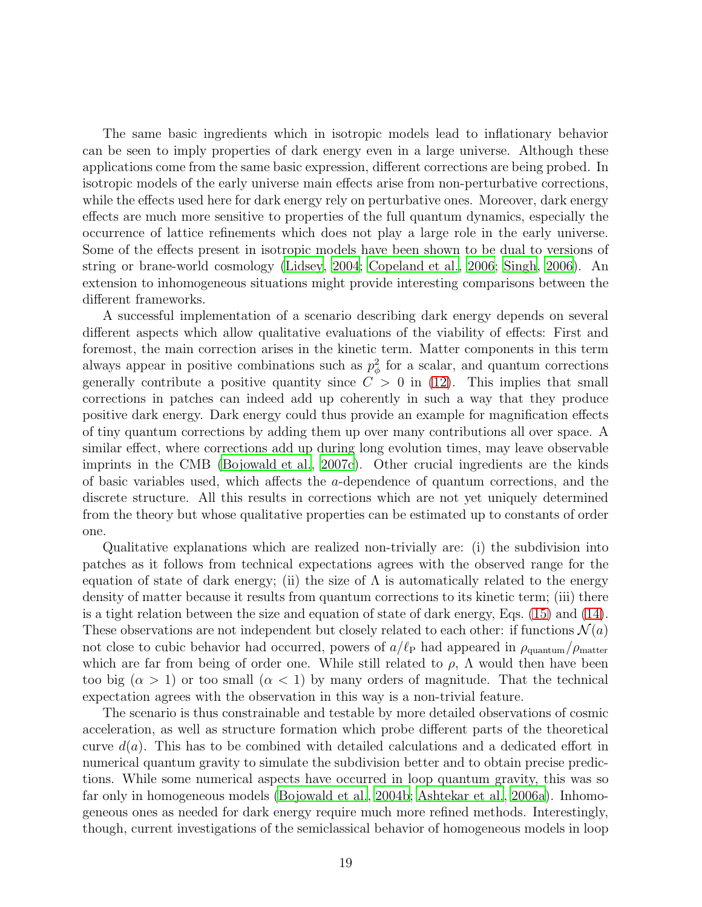The same basic ingredients which in isotropic models lead to inflationary behavior can be seen to imply properties of dark energy even in a large universe. Although these applications come from the same basic expression, different corrections are being probed. In isotropic models of the early universe main effects arise from non-perturbative corrections, while the effects used here for dark energy rely on perturbative ones. Moreover, dark energy effects are much more sensitive to properties of the full quantum dynamics, especially the occurrence of lattice refinements which does not play a large role in the early universe. Some of the effects present in isotropic models have been shown to be dual to versions of string or brane-world cosmology [\(Lidsey](#page-22-15), [2004;](#page-22-15) [Copeland et al.](#page-22-16), [2006;](#page-22-16) [Singh](#page-23-16), [2006\)](#page-23-16). An extension to inhomogeneous situations might provide interesting comparisons between the different frameworks.

A successful implementation of a scenario describing dark energy depends on several different aspects which allow qualitative evaluations of the viability of effects: First and foremost, the main correction arises in the kinetic term. Matter components in this term always appear in positive combinations such as  $p_{\phi}^2$  for a scalar, and quantum corrections generally contribute a positive quantity since  $C > 0$  in [\(12\)](#page-15-1). This implies that small corrections in patches can indeed add up coherently in such a way that they produce positive dark energy. Dark energy could thus provide an example for magnification effects of tiny quantum corrections by adding them up over many contributions all over space. A similar effect, where corrections add up during long evolution times, may leave observable imprints in the CMB [\(Bojowald et al., 2007c\)](#page-21-0). Other crucial ingredients are the kinds of basic variables used, which affects the a-dependence of quantum corrections, and the discrete structure. All this results in corrections which are not yet uniquely determined from the theory but whose qualitative properties can be estimated up to constants of order one.

Qualitative explanations which are realized non-trivially are: (i) the subdivision into patches as it follows from technical expectations agrees with the observed range for the equation of state of dark energy; (ii) the size of  $\Lambda$  is automatically related to the energy density of matter because it results from quantum corrections to its kinetic term; (iii) there is a tight relation between the size and equation of state of dark energy, Eqs. [\(15\)](#page-17-0) and [\(14\)](#page-16-1). These observations are not independent but closely related to each other: if functions  $\mathcal{N}(a)$ not close to cubic behavior had occurred, powers of  $a/\ell_{\rm P}$  had appeared in  $\rho_{\rm quantum}/\rho_{\rm matter}$ which are far from being of order one. While still related to  $\rho$ ,  $\Lambda$  would then have been too big  $(\alpha > 1)$  or too small  $(\alpha < 1)$  by many orders of magnitude. That the technical expectation agrees with the observation in this way is a non-trivial feature.

The scenario is thus constrainable and testable by more detailed observations of cosmic acceleration, as well as structure formation which probe different parts of the theoretical curve  $d(a)$ . This has to be combined with detailed calculations and a dedicated effort in numerical quantum gravity to simulate the subdivision better and to obtain precise predictions. While some numerical aspects have occurred in loop quantum gravity, this was so far only in homogeneous models [\(Bojowald et al., 2004b](#page-21-14); [Ashtekar et](#page-20-15) al., [2006a\)](#page-20-15). Inhomogeneous ones as needed for dark energy require much more refined methods. Interestingly, though, current investigations of the semiclassical behavior of homogeneous models in loop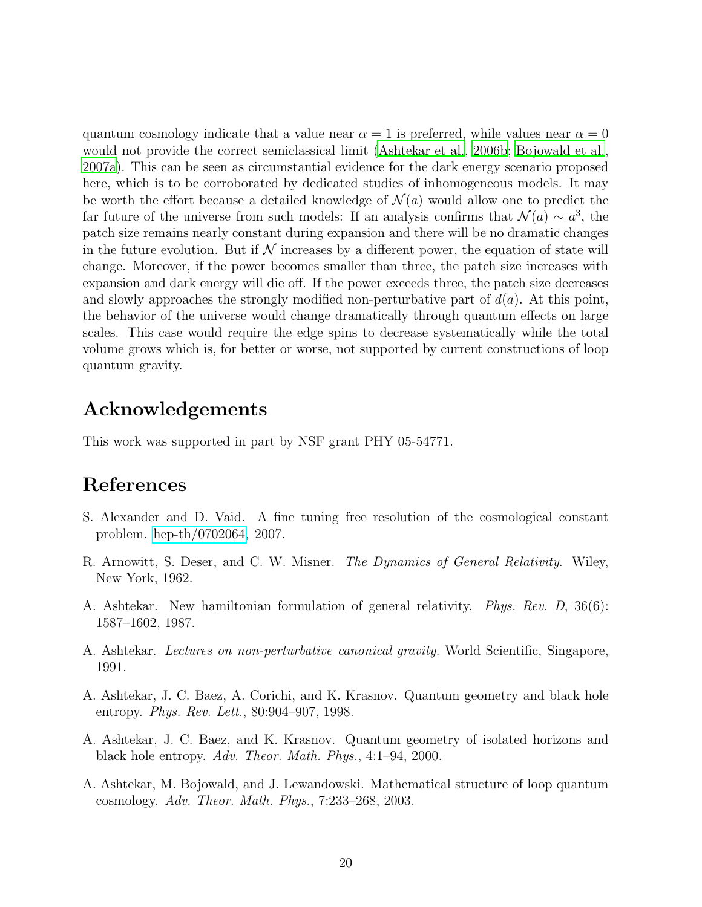quantum cosmology indicate that a value near  $\alpha = 1$  is preferred, while values near  $\alpha = 0$ would not provide the correct semiclassical limit [\(Ashtekar et al.](#page-20-13), [2006b;](#page-20-13) [Bojowald et al.,](#page-21-6) [2007a](#page-21-6)). This can be seen as circumstantial evidence for the dark energy scenario proposed here, which is to be corroborated by dedicated studies of inhomogeneous models. It may be worth the effort because a detailed knowledge of  $\mathcal{N}(a)$  would allow one to predict the far future of the universe from such models: If an analysis confirms that  $\mathcal{N}(a) \sim a^3$ , the patch size remains nearly constant during expansion and there will be no dramatic changes in the future evolution. But if  $\mathcal N$  increases by a different power, the equation of state will change. Moreover, if the power becomes smaller than three, the patch size increases with expansion and dark energy will die off. If the power exceeds three, the patch size decreases and slowly approaches the strongly modified non-perturbative part of  $d(a)$ . At this point, the behavior of the universe would change dramatically through quantum effects on large scales. This case would require the edge spins to decrease systematically while the total volume grows which is, for better or worse, not supported by current constructions of loop quantum gravity.

### Acknowledgements

This work was supported in part by NSF grant PHY 05-54771.

### References

- <span id="page-19-3"></span>S. Alexander and D. Vaid. A fine tuning free resolution of the cosmological constant problem. [hep-th/0702064,](http://arxiv.org/abs/hep-th/0702064) 2007.
- <span id="page-19-0"></span>R. Arnowitt, S. Deser, and C. W. Misner. The Dynamics of General Relativity. Wiley, New York, 1962.
- <span id="page-19-1"></span>A. Ashtekar. New hamiltonian formulation of general relativity. Phys. Rev. D, 36(6): 1587–1602, 1987.
- <span id="page-19-4"></span>A. Ashtekar. Lectures on non-perturbative canonical gravity. World Scientific, Singapore, 1991.
- <span id="page-19-5"></span>A. Ashtekar, J. C. Baez, A. Corichi, and K. Krasnov. Quantum geometry and black hole entropy. Phys. Rev. Lett., 80:904–907, 1998.
- <span id="page-19-6"></span>A. Ashtekar, J. C. Baez, and K. Krasnov. Quantum geometry of isolated horizons and black hole entropy. Adv. Theor. Math. Phys., 4:1–94, 2000.
- <span id="page-19-2"></span>A. Ashtekar, M. Bojowald, and J. Lewandowski. Mathematical structure of loop quantum cosmology. Adv. Theor. Math. Phys., 7:233–268, 2003.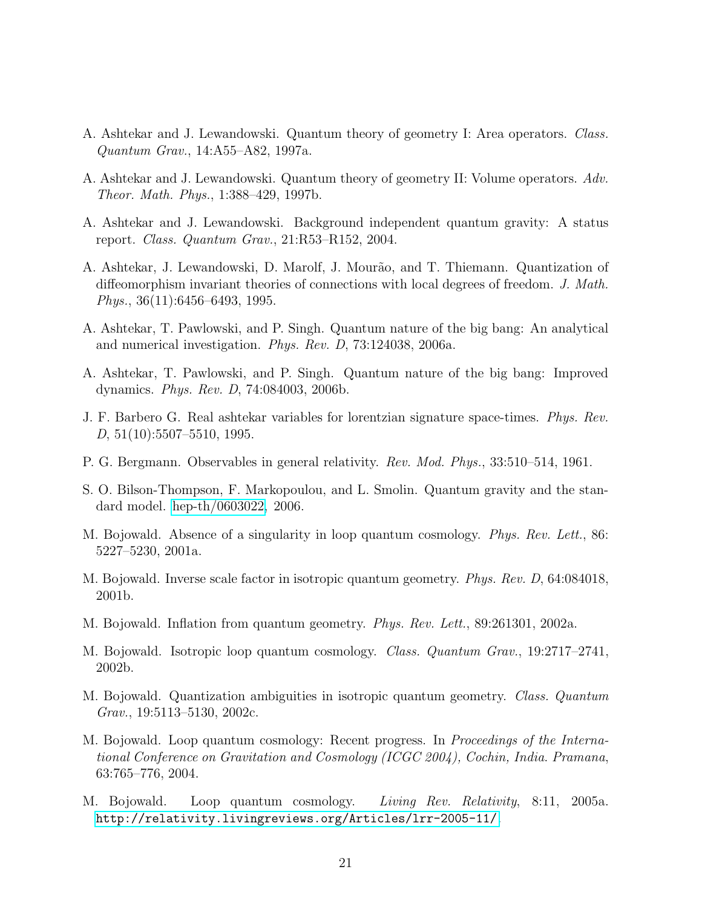- <span id="page-20-2"></span>A. Ashtekar and J. Lewandowski. Quantum theory of geometry I: Area operators. Class. Quantum Grav., 14:A55–A82, 1997a.
- <span id="page-20-3"></span>A. Ashtekar and J. Lewandowski. Quantum theory of geometry II: Volume operators. Adv. Theor. Math. Phys., 1:388–429, 1997b.
- <span id="page-20-0"></span>A. Ashtekar and J. Lewandowski. Background independent quantum gravity: A status report. Class. Quantum Grav., 21:R53–R152, 2004.
- <span id="page-20-6"></span>A. Ashtekar, J. Lewandowski, D. Marolf, J. Mourão, and T. Thiemann. Quantization of diffeomorphism invariant theories of connections with local degrees of freedom. J. Math. Phys., 36(11):6456–6493, 1995.
- <span id="page-20-15"></span>A. Ashtekar, T. Pawlowski, and P. Singh. Quantum nature of the big bang: An analytical and numerical investigation. Phys. Rev. D, 73:124038, 2006a.
- <span id="page-20-13"></span>A. Ashtekar, T. Pawlowski, and P. Singh. Quantum nature of the big bang: Improved dynamics. Phys. Rev. D, 74:084003, 2006b.
- <span id="page-20-5"></span>J. F. Barbero G. Real ashtekar variables for lorentzian signature space-times. Phys. Rev. D, 51(10):5507–5510, 1995.
- <span id="page-20-8"></span>P. G. Bergmann. Observables in general relativity. Rev. Mod. Phys., 33:510–514, 1961.
- <span id="page-20-1"></span>S. O. Bilson-Thompson, F. Markopoulou, and L. Smolin. Quantum gravity and the standard model. [hep-th/0603022,](http://arxiv.org/abs/hep-th/0603022) 2006.
- <span id="page-20-7"></span>M. Bojowald. Absence of a singularity in loop quantum cosmology. Phys. Rev. Lett., 86: 5227–5230, 2001a.
- <span id="page-20-10"></span>M. Bojowald. Inverse scale factor in isotropic quantum geometry. Phys. Rev. D, 64:084018, 2001b.
- <span id="page-20-14"></span>M. Bojowald. Inflation from quantum geometry. Phys. Rev. Lett., 89:261301, 2002a.
- <span id="page-20-9"></span>M. Bojowald. Isotropic loop quantum cosmology. Class. Quantum Grav., 19:2717–2741, 2002b.
- <span id="page-20-11"></span>M. Bojowald. Quantization ambiguities in isotropic quantum geometry. Class. Quantum Grav., 19:5113–5130, 2002c.
- <span id="page-20-12"></span>M. Bojowald. Loop quantum cosmology: Recent progress. In Proceedings of the International Conference on Gravitation and Cosmology (ICGC 2004), Cochin, India. Pramana, 63:765–776, 2004.
- <span id="page-20-4"></span>M. Bojowald. Loop quantum cosmology. Living Rev. Relativity, 8:11, 2005a. <http://relativity.livingreviews.org/Articles/lrr-2005-11/>.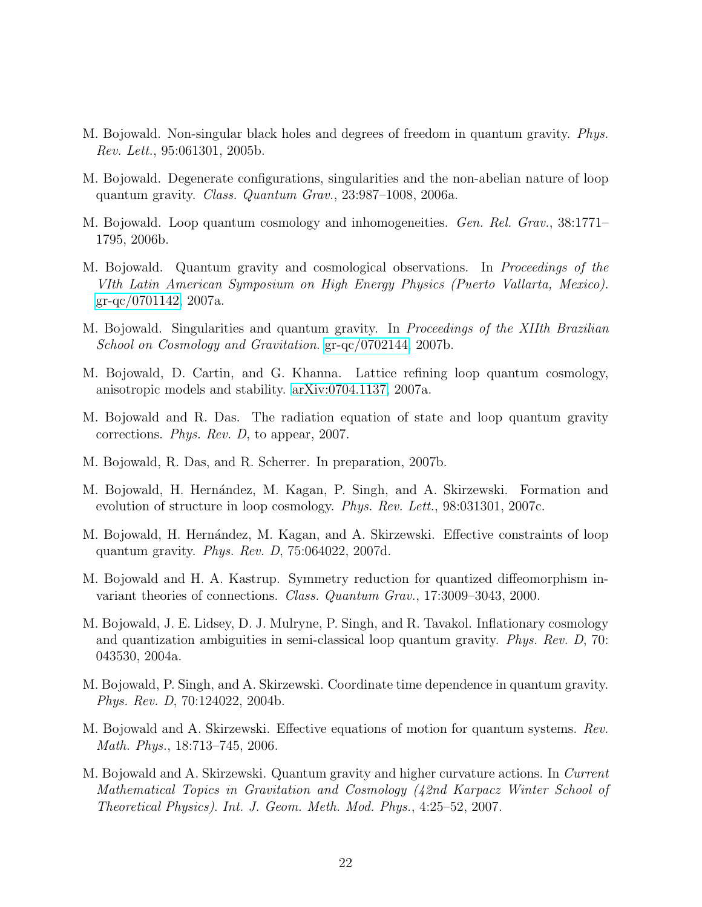- <span id="page-21-1"></span>M. Bojowald. Non-singular black holes and degrees of freedom in quantum gravity. Phys. Rev. Lett., 95:061301, 2005b.
- <span id="page-21-4"></span>M. Bojowald. Degenerate configurations, singularities and the non-abelian nature of loop quantum gravity. Class. Quantum Grav., 23:987–1008, 2006a.
- <span id="page-21-5"></span>M. Bojowald. Loop quantum cosmology and inhomogeneities. Gen. Rel. Grav., 38:1771– 1795, 2006b.
- <span id="page-21-7"></span>M. Bojowald. Quantum gravity and cosmological observations. In Proceedings of the VIth Latin American Symposium on High Energy Physics (Puerto Vallarta, Mexico). [gr-qc/0701142,](http://arxiv.org/abs/gr-qc/0701142) 2007a.
- <span id="page-21-2"></span>M. Bojowald. Singularities and quantum gravity. In Proceedings of the XIIth Brazilian School on Cosmology and Gravitation. [gr-qc/0702144,](http://arxiv.org/abs/gr-qc/0702144) 2007b.
- <span id="page-21-6"></span>M. Bojowald, D. Cartin, and G. Khanna. Lattice refining loop quantum cosmology, anisotropic models and stability. [arXiv:0704.1137,](http://arxiv.org/abs/0704.1137) 2007a.
- <span id="page-21-11"></span>M. Bojowald and R. Das. The radiation equation of state and loop quantum gravity corrections. Phys. Rev. D, to appear, 2007.
- <span id="page-21-12"></span>M. Bojowald, R. Das, and R. Scherrer. In preparation, 2007b.
- <span id="page-21-0"></span>M. Bojowald, H. Hernández, M. Kagan, P. Singh, and A. Skirzewski. Formation and evolution of structure in loop cosmology. Phys. Rev. Lett., 98:031301, 2007c.
- <span id="page-21-13"></span>M. Bojowald, H. Hernández, M. Kagan, and A. Skirzewski. Effective constraints of loop quantum gravity. Phys. Rev. D, 75:064022, 2007d.
- <span id="page-21-3"></span>M. Bojowald and H. A. Kastrup. Symmetry reduction for quantized diffeomorphism invariant theories of connections. Class. Quantum Grav., 17:3009–3043, 2000.
- <span id="page-21-8"></span>M. Bojowald, J. E. Lidsey, D. J. Mulryne, P. Singh, and R. Tavakol. Inflationary cosmology and quantization ambiguities in semi-classical loop quantum gravity. Phys. Rev. D, 70: 043530, 2004a.
- <span id="page-21-14"></span>M. Bojowald, P. Singh, and A. Skirzewski. Coordinate time dependence in quantum gravity. Phys. Rev. D, 70:124022, 2004b.
- <span id="page-21-9"></span>M. Bojowald and A. Skirzewski. Effective equations of motion for quantum systems. Rev. Math. Phys., 18:713–745, 2006.
- <span id="page-21-10"></span>M. Bojowald and A. Skirzewski. Quantum gravity and higher curvature actions. In Current Mathematical Topics in Gravitation and Cosmology (42nd Karpacz Winter School of Theoretical Physics). Int. J. Geom. Meth. Mod. Phys., 4:25–52, 2007.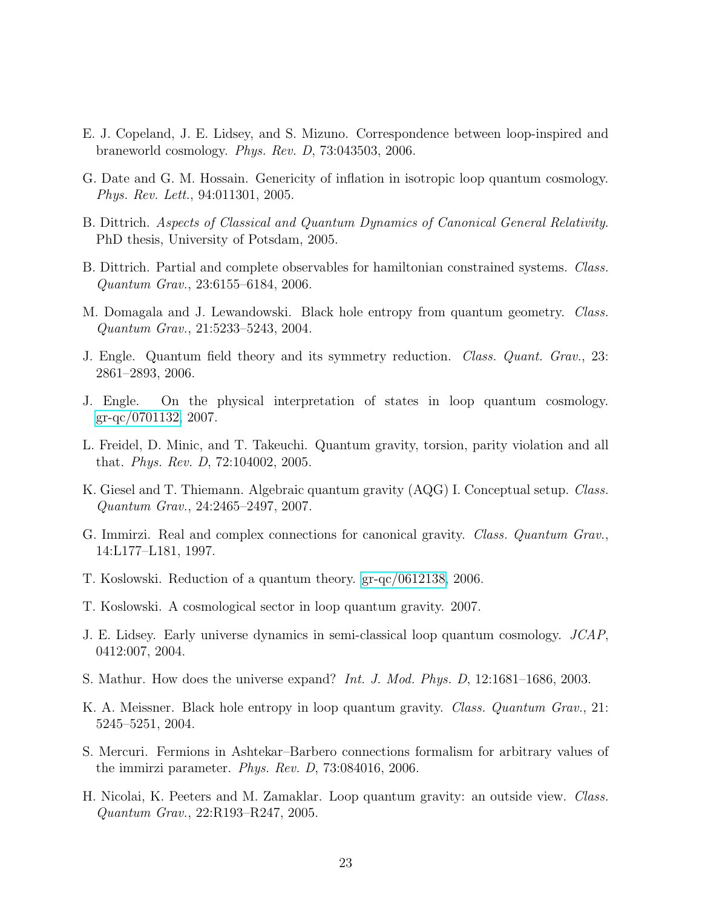- <span id="page-22-16"></span>E. J. Copeland, J. E. Lidsey, and S. Mizuno. Correspondence between loop-inspired and braneworld cosmology. Phys. Rev. D, 73:043503, 2006.
- <span id="page-22-12"></span>G. Date and G. M. Hossain. Genericity of inflation in isotropic loop quantum cosmology. Phys. Rev. Lett., 94:011301, 2005.
- <span id="page-22-2"></span>B. Dittrich. Aspects of Classical and Quantum Dynamics of Canonical General Relativity. PhD thesis, University of Potsdam, 2005.
- <span id="page-22-1"></span>B. Dittrich. Partial and complete observables for hamiltonian constrained systems. Class. Quantum Grav., 23:6155–6184, 2006.
- <span id="page-22-13"></span>M. Domagala and J. Lewandowski. Black hole entropy from quantum geometry. Class. Quantum Grav., 21:5233–5243, 2004.
- <span id="page-22-4"></span>J. Engle. Quantum field theory and its symmetry reduction. Class. Quant. Grav., 23: 2861–2893, 2006.
- <span id="page-22-6"></span>J. Engle. On the physical interpretation of states in loop quantum cosmology. [gr-qc/0701132,](http://arxiv.org/abs/gr-qc/0701132) 2007.
- <span id="page-22-9"></span>L. Freidel, D. Minic, and T. Takeuchi. Quantum gravity, torsion, parity violation and all that. Phys. Rev. D, 72:104002, 2005.
- <span id="page-22-3"></span>K. Giesel and T. Thiemann. Algebraic quantum gravity (AQG) I. Conceptual setup. Class. Quantum Grav., 24:2465–2497, 2007.
- <span id="page-22-0"></span>G. Immirzi. Real and complex connections for canonical gravity. Class. Quantum Grav., 14:L177–L181, 1997.
- <span id="page-22-5"></span>T. Koslowski. Reduction of a quantum theory. [gr-qc/0612138,](http://arxiv.org/abs/gr-qc/0612138) 2006.
- <span id="page-22-7"></span>T. Koslowski. A cosmological sector in loop quantum gravity. 2007.
- <span id="page-22-15"></span>J. E. Lidsey. Early universe dynamics in semi-classical loop quantum cosmology. JCAP, 0412:007, 2004.
- <span id="page-22-8"></span>S. Mathur. How does the universe expand? Int. J. Mod. Phys. D, 12:1681–1686, 2003.
- <span id="page-22-14"></span>K. A. Meissner. Black hole entropy in loop quantum gravity. Class. Quantum Grav., 21: 5245–5251, 2004.
- <span id="page-22-10"></span>S. Mercuri. Fermions in Ashtekar–Barbero connections formalism for arbitrary values of the immirzi parameter. Phys. Rev. D, 73:084016, 2006.
- <span id="page-22-11"></span>H. Nicolai, K. Peeters and M. Zamaklar. Loop quantum gravity: an outside view. Class. Quantum Grav., 22:R193–R247, 2005.